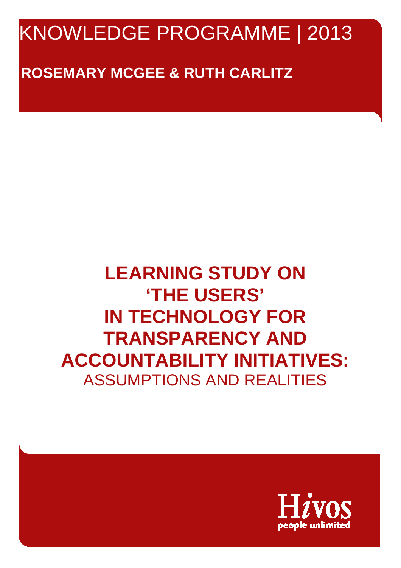# KNOWLEDGE PROGRAMME | 2013

## **ROSEMARY MCGEE & RUTH CARLITZ ARLITZ**

## **LEARNING STUDY ON IN TECHNOLOGY FOR TRANSPARENCY AND ACCOUNTABILITY INITI INITIATIVES: ATIVES:**ASSUMPTIONS AND REALITIES **'THE USERS'**

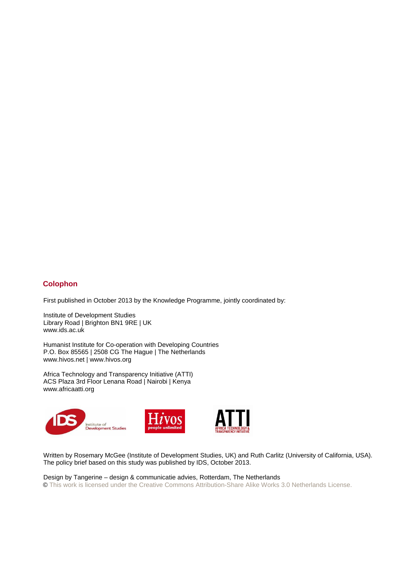#### **Colophon**

First published in October 2013 by the Knowledge Programme, jointly coordinated by:

Institute of Development Studies Library Road | Brighton BN1 9RE | UK www.ids.ac.uk

Humanist Institute for Co-operation with Developing Countries P.O. Box 85565 | 2508 CG The Hague | The Netherlands www.hivos.net | www.hivos.org

Africa Technology and Transparency Initiative (ATTI) ACS Plaza 3rd Floor Lenana Road | Nairobi | Kenya www.africaatti.org



Written by Rosemary McGee (Institute of Development Studies, UK) and Ruth Carlitz (University of California, USA). The policy brief based on this study was published by IDS, October 2013.

Design by Tangerine – design & communicatie advies, Rotterdam, The Netherlands © This work is licensed under the Creative Commons Attribution-Share Alike Works 3.0 Netherlands License.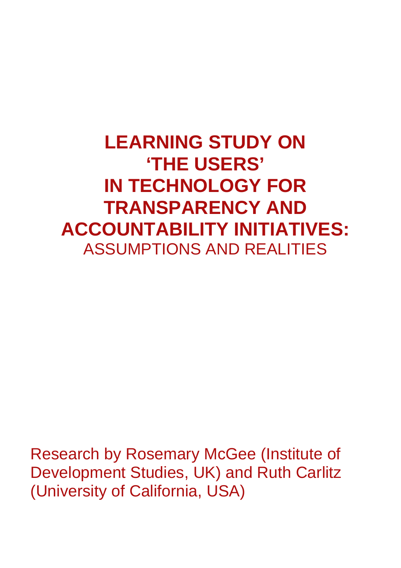## **LEARNING STUDY ON 'THE USERS' IN TECHNOLOGY FOR TRANSPARENCY AND ACCOUNTABILITY INITIATIVES:** ASSUMPTIONS AND REALITIES

Research by Rosemary McGee (Institute of Development Studies, UK) and Ruth Carlitz (University of California, USA)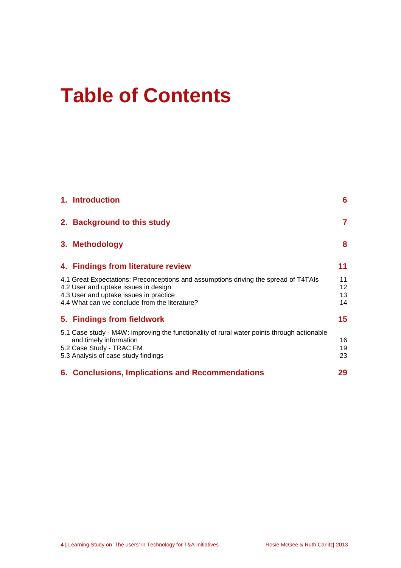## **Table of Contents**

| 1. Introduction                                                                                                                                                                                                        | 6                    |
|------------------------------------------------------------------------------------------------------------------------------------------------------------------------------------------------------------------------|----------------------|
| 2. Background to this study                                                                                                                                                                                            | 7                    |
| 3. Methodology                                                                                                                                                                                                         | 8                    |
| 4. Findings from literature review                                                                                                                                                                                     | 11                   |
| 4.1 Great Expectations: Preconceptions and assumptions driving the spread of T4TAIs<br>4.2 User and uptake issues in design<br>4.3 User and uptake issues in practice<br>4.4 What can we conclude from the literature? | 11<br>12<br>13<br>14 |
| 5. Findings from fieldwork                                                                                                                                                                                             | 15                   |
| 5.1 Case study - M4W: improving the functionality of rural water points through actionable<br>and timely information<br>5.2 Case Study - TRAC FM<br>5.3 Analysis of case study findings                                | 16<br>19<br>23       |
| 6. Conclusions, Implications and Recommendations                                                                                                                                                                       | 29                   |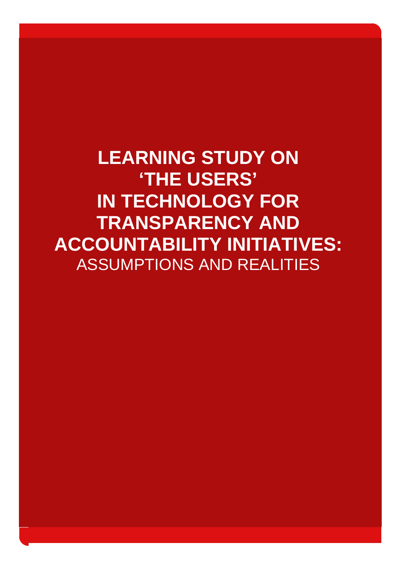**LEARNING STUDY ON 'THE USERS' IN TECHNOLOGY FOR TRANSPARENCY AND ACCOUNTABILITY INITIATIVES:** ASSUMPTIONS AND REALITIES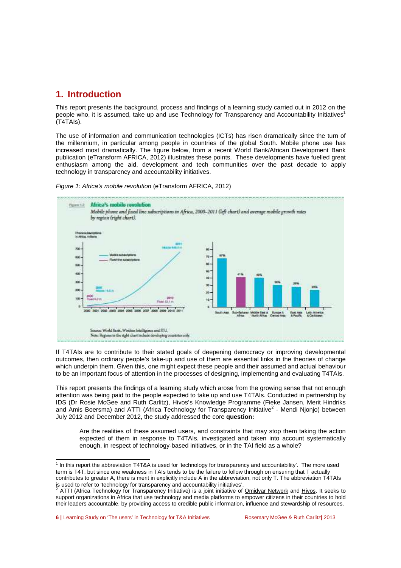### **1. Introduction**

This report presents the background, process and findings of a learning study carried out in 2012 on the the people who, it is assumed, take up and use Technology for Transparency and Accountability Initiatives<sup>1</sup> (T4TAIs).

The use of information and communication technologies (ICTs) has risen dramatically since the turn of the millennium, in particular among people in countries of the global South. Mobile phone use has increased most dramatically. The figure below, from a recent World Bank/African Development Bank publication (eTransform AFRICA, 2012) illustrates these points. These developments have fuelled great enthusiasm among the aid, development and tech communities over the past decade to apply technology in transparency and accountability initiatives. use Technology for Transparency and Accountability Initiatives<sup>1</sup><br>ion technologies (ICTs) has risen dramatically since the turn of<br>ople in countries of the global South. Mobile phone use has has risen dramatically since the turn of

rigue (2) Africa's mobile revolution Mobile phone and fixed line subscriptions in Africa, 2000-2011 (left chart) and average mobile growth rates by region (right chart). Source: World Bank, Window Intelligence and ITU.<br>Note: Regions to the right clust include developing countries only

Figure 1: Africa's mobile revolution (eTransform AFRICA, 2012)

If T4TAIs are to contribute to their stated goals of deepening democracy or improving developmental If T4TAIs are to contribute to their stated goals of deepening democracy or improving developmental<br>outcomes, then ordinary people's take-up and use of them are essential links in the theories of change which underpin them. Given this, one might expect these people and their assumed and actual behaviour to be an important focus of attention in the processes of designing, implementing and evaluating T4TAIs.

This report presents the findings of a learning study which arose from the growing sense that not enough attention was being paid to the people expected to take up and use T4TAIs. Conducted in partnership by This report presents the findings of a learning study which arose from the growing sense that not enough<br>attention was being paid to the people expected to take up and use T4TAIs. Conducted in partnership by<br>IDS (Dr Rosie and Amis Boersma) and ATTI (Africa Technology for Transparency Initiative<sup>2</sup> - Mendi Njonjo) between July 2012 and December 2012, the study addressed the core **question:** 

Are the realities of these assumed users, and constraints that may stop them taking the action expected of them in response to T4TAIs, investigated and taken into account systematically enough, in respect of technology-based initiatives, or in the TAI field as a whole?

l

 $1$  In this report the abbreviation T4T&A is used for 'technology for transparency and accountability'. The more used term is T4T, but since one weakness in TAIs tends to be the failure to follow through on ensuring that T actually contributes to greater A, there is merit in explicitly include A in the abbreviation, not only T. The abbreviation T4TAIs is used to refer to 'technology for transparency and accountability initiatives'. <sup>1</sup> In this report the abbreviation T4T&A is used for 'technology for transparency and accountability'. The more used<br>term is T4T, but since one weakness in TAIs tends to be the failure to follow through on ensuring that

support organizations in Africa that use technology and media platforms to empower citizens in their countries to hold their leaders accountable, by providing access to credible public information, influence and stewardship of resources.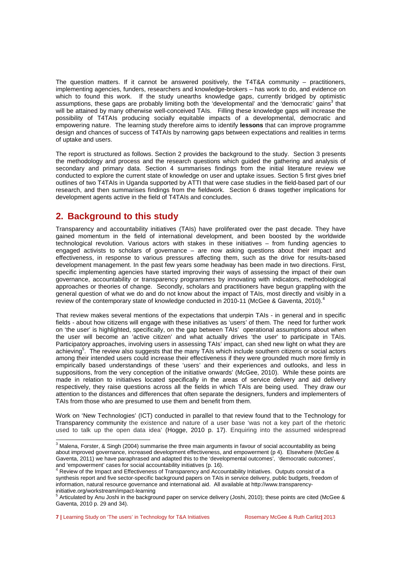The question matters. If it cannot be answered positively, the T4T&A community – practitioners, implementing agencies, funders, researchers and knowledge-brokers – has work to do, and evidence on which to found this work. If the study unearths knowledge gaps, currently bridged by optimistic assumptions, these gaps are probably limiting both the 'developmental' and the 'democratic' gains<sup>3</sup> that will be attained by many otherwise well-conceived TAIs. Filling these knowledge gaps will increase the possibility of T4TAIs producing socially equitable impacts of a developmental, democratic and empowering nature. The learning study therefore aims to identify **lessons** that can improve programme design and chances of success of T4TAIs by narrowing gaps between expectations and realities in terms of uptake and users.

The report is structured as follows. Section 2 provides the background to the study. Section 3 presents the methodology and process and the research questions which guided the gathering and analysis of secondary and primary data. Section 4 summarises findings from the initial literature review we conducted to explore the current state of knowledge on user and uptake issues. Section 5 first gives brief outlines of two T4TAIs in Uganda supported by ATTI that were case studies in the field-based part of our research, and then summarises findings from the fieldwork. Section 6 draws together implications for development agents active in the field of T4TAIs and concludes.

### **2. Background to this study**

Transparency and accountability initiatives (TAIs) have proliferated over the past decade. They have gained momentum in the field of international development, and been boosted by the worldwide technological revolution. Various actors with stakes in these initiatives – from funding agencies to engaged activists to scholars of governance – are now asking questions about their impact and effectiveness, in response to various pressures affecting them, such as the drive for results-based development management. In the past few years some headway has been made in two directions. First, specific implementing agencies have started improving their ways of assessing the impact of their own governance, accountability or transparency programmes by innovating with indicators, methodological approaches or theories of change. Secondly, scholars and practitioners have begun grappling with the general question of what we do and do not know about the impact of TAIs, most directly and visibly in a review of the contemporary state of knowledge conducted in 2010-11 (McGee & Gaventa, 2010).<sup>4</sup>

That review makes several mentions of the expectations that underpin TAIs - in general and in specific fields - about how citizens will engage with these initiatives as 'users' of them. The need for further work on 'the user' is highlighted, specifically, on the gap between TAIs' operational assumptions about when the user will become an 'active citizen' and what actually drives 'the user' to participate in TAIs. Participatory approaches, involving users in assessing TAIs' impact, can shed new light on what they are achieving<sup>5</sup>. The review also suggests that the many TAIs which include southern citizens or social actors among their intended users could increase their effectiveness if they were grounded much more firmly in empirically based understandings of these 'users' and their experiences and outlooks, and less in suppositions, from the very conception of the initiative onwards' (McGee, 2010). While these points are made in relation to initiatives located specifically in the areas of service delivery and aid delivery respectively, they raise questions across all the fields in which TAIs are being used. They draw our attention to the distances and differences that often separate the designers, funders and implementers of TAIs from those who are presumed to use them and benefit from them.

Work on 'New Technologies' (ICT) conducted in parallel to that review found that to the Technology for Transparency community the existence and nature of a user base 'was not a key part of the rhetoric used to talk up the open data idea' (Hogge, 2010 p. 17). Enquiring into the assumed widespread

 3 Malena, Forster, & Singh (2004) summarise the three main arguments in favour of social accountability as being about improved governance, increased development effectiveness, and empowerment (p 4). Elsewhere (McGee & Gaventa, 2011) we have paraphrased and adapted this to the 'developmental outcomes', 'democratic outcomes', and 'empowerment' cases for social accountability initiatives (p. 16).

<sup>&</sup>lt;sup>4</sup> Review of the Impact and Effectiveness of Transparency and Accountability Initiatives. Outputs consist of a synthesis report and five sector-specific background papers on TAIs in service delivery, public budgets, freedom of information, natural resource governance and international aid. All available at http://www.transparencyinitiative.org/workstream/impact-learning

<sup>&</sup>lt;sup>5</sup> Articulated by Anu Joshi in the background paper on service delivery (Joshi, 2010); these points are cited (McGee & Gaventa, 2010 p. 29 and 34).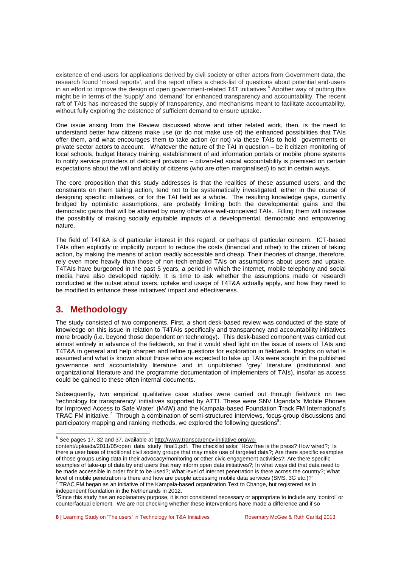existence of end-users for applications derived by civil society or other actors from Government data, the research found 'mixed reports', and the report offers a check-list of questions about potential end-users in an effort to improve the design of open government-related T4T initiatives.<sup>6</sup> Another way of putting this might be in terms of the 'supply' and 'demand' for enhanced transparency and accountability. The recent raft of TAIs has increased the supply of transparency, and mechanisms meant to facilitate accountability, without fully exploring the existence of sufficient demand to ensure uptake.

One issue arising from the Review discussed above and other related work, then, is the need to understand better how citizens make use (or do not make use of) the enhanced possibilities that TAIs offer them, and what encourages them to take action (or not) via these TAIs to hold governments or private sector actors to account. Whatever the nature of the TAI in question – be it citizen monitoring of local schools, budget literacy training, establishment of aid information portals or mobile phone systems to notify service providers of deficient provision – citizen-led social accountability is premised on certain expectations about the will and ability of citizens (who are often marginalised) to act in certain ways.

The core proposition that this study addresses is that the realities of these assumed users, and the constraints on them taking action, tend not to be systematically investigated, either in the course of designing specific initiatives, or for the TAI field as a whole. The resulting knowledge gaps, currently bridged by optimistic assumptions, are probably limiting both the developmental gains and the democratic gains that will be attained by many otherwise well-conceived TAIs. Filling them will increase the possibility of making socially equitable impacts of a developmental, democratic and empowering nature.

The field of T4T&A is of particular interest in this regard, or perhaps of particular concern. ICT-based TAIs often explicitly or implicitly purport to reduce the costs (financial and other) to the citizen of taking action, by making the means of action readily accessible and cheap. Their theories of change, therefore, rely even more heavily than those of non-tech-enabled TAIs on assumptions about users and uptake. T4TAIs have burgeoned in the past 5 years, a period in which the internet, mobile telephony and social media have also developed rapidly. It is time to ask whether the assumptions made or research conducted at the outset about users, uptake and usage of T4T&A actually apply, and how they need to be modified to enhance these initiatives' impact and effectiveness.

### **3. Methodology**

The study consisted of two components. First, a short desk-based review was conducted of the state of knowledge on this issue in relation to T4TAIs specifically and transparency and accountability initiatives more broadly (i.e. beyond those dependent on technology). This desk-based component was carried out almost entirely in advance of the fieldwork, so that it would shed light on the issue of users of TAIs and T4T&A in general and help sharpen and refine questions for exploration in fieldwork. Insights on what is assumed and what is known about those who are expected to take up TAIs were sought in the published governance and accountability literature and in unpublished 'grey' literature (institutional and organizational literature and the programme documentation of implementers of TAIs), insofar as access could be gained to these often internal documents.

Subsequently, two empirical qualitative case studies were carried out through fieldwork on two 'technology for transparency' initiatives supported by ATTI. These were SNV Uganda's 'Mobile Phones for Improved Access to Safe Water' (M4W) and the Kampala-based Foundation Track FM International's TRAC FM initiative.<sup>7</sup> Through a combination of semi-structured interviews, focus-group discussions and participatory mapping and ranking methods, we explored the following questions<sup>8</sup>:

independent foundation in the Netherlands in 2012.

 6 See pages 17, 32 and 37, available at http://www.transparency-initiative.org/wp-

content/uploads/2011/05/open\_data\_study\_final1.pdf. The checklist asks: 'How free is the press? How wired?; Is there a user base of traditional civil society groups that may make use of targeted data?; Are there specific examples of those groups using data in their advocacy/monitoring or other civic engagement activities?; Are there specific examples of take-up of data by end users that may inform open data initiatives?; In what ways did that data need to be made accessible in order for it to be used?; What level of internet penetration is there across the country?; What level of mobile penetration is there and how are people accessing mobile data services (SMS, 3G etc.)?'<br><sup>7</sup> TRAC FM began as an initiative of the Kampala-based organization Text to Change, but registered as in

<sup>&</sup>lt;sup>8</sup>Since this study has an explanatory purpose, it is not considered necessary or appropriate to include any 'control' or counterfactual element. We are not checking whether these interventions have made a difference and if so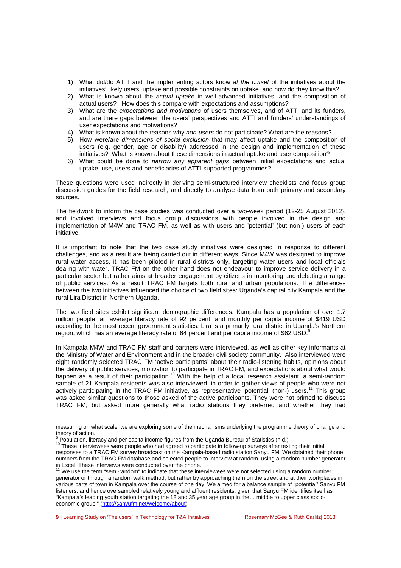- 1) What did/do ATTI and the implementing actors know at the outset of the initiatives about the initiatives' likely users, uptake and possible constraints on uptake, and how do they know this?
- 2) What is known about the *actual uptake* in well-advanced initiatives, and the composition of actual users? How does this compare with expectations and assumptions?
- 3) What are the expectations and motivations of users themselves, and of ATTI and its funders, and are there gaps between the users' perspectives and ATTI and funders' understandings of user expectations and motivations?
- 4) What is known about the reasons why non-users do not participate? What are the reasons?
- 5) How were/are dimensions of social exclusion that may affect uptake and the composition of users (e.g. gender, age or disability) addressed in the design and implementation of these initiatives? What is known about these dimensions in actual uptake and user composition?
- 6) What could be done to narrow any apparent gaps between initial expectations and actual uptake, use, users and beneficiaries of ATTI-supported programmes?

These questions were used indirectly in deriving semi-structured interview checklists and focus group discussion guides for the field research, and directly to analyse data from both primary and secondary sources.

The fieldwork to inform the case studies was conducted over a two-week period (12-25 August 2012), and involved interviews and focus group discussions with people involved in the design and implementation of M4W and TRAC FM, as well as with users and 'potential' (but non-) users of each initiative.

It is important to note that the two case study initiatives were designed in response to different challenges, and as a result are being carried out in different ways. Since M4W was designed to improve rural water access, it has been piloted in rural districts only, targeting water users and local officials dealing with water. TRAC FM on the other hand does not endeavour to improve service delivery in a particular sector but rather aims at broader engagement by citizens in monitoring and debating a range of public services. As a result TRAC FM targets both rural and urban populations. The differences between the two initiatives influenced the choice of two field sites: Uganda's capital city Kampala and the rural Lira District in Northern Uganda.

The two field sites exhibit significant demographic differences: Kampala has a population of over 1.7 million people, an average literacy rate of 92 percent, and monthly per capita income of \$419 USD according to the most recent government statistics. Lira is a primarily rural district in Uganda's Northern region, which has an average literacy rate of 64 percent and per capita income of \$62 USD.<sup>9</sup>

In Kampala M4W and TRAC FM staff and partners were interviewed, as well as other key informants at the Ministry of Water and Environment and in the broader civil society community. Also interviewed were eight randomly selected TRAC FM 'active participants' about their radio-listening habits, opinions about the delivery of public services, motivation to participate in TRAC FM, and expectations about what would happen as a result of their participation.<sup>10</sup> With the help of a local research assistant, a semi-random sample of 21 Kampala residents was also interviewed, in order to gather views of people who were not actively participating in the TRAC FM initiative, as representative 'potential' (non-) users.<sup>11</sup> This group was asked similar questions to those asked of the active participants. They were not primed to discuss TRAC FM, but asked more generally what radio stations they preferred and whether they had

<sup>10</sup> These interviewees were people who had agreed to participate in follow-up surveys after texting their initial responses to a TRAC FM survey broadcast on the Kampala-based radio station Sanyu FM. We obtained their phone numbers from the TRAC FM database and selected people to interview at random, using a random number generator in Excel. These interviews were conducted over the phone.

-

measuring on what scale; we are exploring some of the mechanisms underlying the programme theory of change and theory of action.

<sup>&</sup>lt;sup>9</sup> Population, literacy and per capita income figures from the Uganda Bureau of Statistics (n.d.)

 $11$  We use the term "semi-random" to indicate that these interviewees were not selected using a random number generator or through a random walk method, but rather by approaching them on the street and at their workplaces in various parts of town in Kampala over the course of one day. We aimed for a balance sample of "potential" Sanyu FM listeners, and hence oversampled relatively young and affluent residents, given that Sanyu FM identifies itself as "Kampala's leading youth station targeting the 18 and 35 year age group in the… middle to upper class socioeconomic group." (http://sanyufm.net/welcome/about)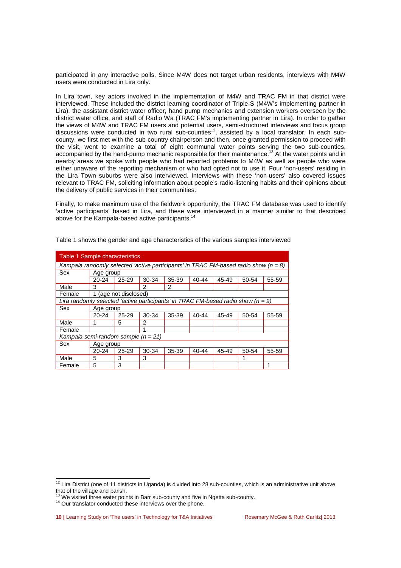participated in any interactive polls. Since M4W does not target urban residents, interviews with M4W users were conducted in Lira only.

In Lira town, key actors involved in the implementation of M4W and TRAC FM in that district were interviewed. These included the district learning coordinator of Triple-S (M4W's implementing partner in Lira), the assistant district water officer, hand pump mechanics and extension workers overseen by the district water office, and staff of Radio Wa (TRAC FM's implementing partner in Lira). In order to gather the views of M4W and TRAC FM users and potential users, semi-structured interviews and focus group discussions were conducted in two rural sub-counties<sup>12</sup>, assisted by a local translator. In each subcounty, we first met with the sub-country chairperson and then, once granted permission to proceed with the visit, went to examine a total of eight communal water points serving the two sub-counties, accompanied by the hand-pump mechanic responsible for their maintenance.<sup>13</sup> At the water points and in nearby areas we spoke with people who had reported problems to M4W as well as people who were either unaware of the reporting mechanism or who had opted not to use it. Four 'non-users' residing in the Lira Town suburbs were also interviewed. Interviews with these 'non-users' also covered issues relevant to TRAC FM, soliciting information about people's radio-listening habits and their opinions about the delivery of public services in their communities.

Finally, to make maximum use of the fieldwork opportunity, the TRAC FM database was used to identify 'active participants' based in Lira, and these were interviewed in a manner similar to that described above for the Kampala-based active participants.<sup>14</sup>

| <b>Table 1 Sample characteristics</b>                                                   |                                                                                    |           |           |         |           |       |       |       |  |  |  |
|-----------------------------------------------------------------------------------------|------------------------------------------------------------------------------------|-----------|-----------|---------|-----------|-------|-------|-------|--|--|--|
| Kampala randomly selected 'active participants' in TRAC FM-based radio show ( $n = 8$ ) |                                                                                    |           |           |         |           |       |       |       |  |  |  |
| Sex                                                                                     | Age group                                                                          |           |           |         |           |       |       |       |  |  |  |
|                                                                                         | $20 - 24$                                                                          | $25 - 29$ | 30-34     | $35-39$ | $40 - 44$ | 45-49 | 50-54 | 55-59 |  |  |  |
| Male                                                                                    | 3                                                                                  |           | 2         | 2       |           |       |       |       |  |  |  |
| Female                                                                                  | 1 (age not disclosed)                                                              |           |           |         |           |       |       |       |  |  |  |
|                                                                                         | Lira randomly selected 'active participants' in TRAC FM-based radio show $(n = 9)$ |           |           |         |           |       |       |       |  |  |  |
| Sex                                                                                     | Age group                                                                          |           |           |         |           |       |       |       |  |  |  |
|                                                                                         | $20 - 24$                                                                          | $25 - 29$ | $30 - 34$ | $35-39$ | $40 - 44$ | 45-49 | 50-54 | 55-59 |  |  |  |
| Male                                                                                    |                                                                                    | 5         | 2         |         |           |       |       |       |  |  |  |
| Female                                                                                  |                                                                                    |           |           |         |           |       |       |       |  |  |  |
|                                                                                         | Kampala semi-random sample $(n = 21)$                                              |           |           |         |           |       |       |       |  |  |  |
| Sex                                                                                     | Age group                                                                          |           |           |         |           |       |       |       |  |  |  |
|                                                                                         | $20 - 24$                                                                          | 25-29     | $30 - 34$ | $35-39$ | $40 - 44$ | 45-49 | 50-54 | 55-59 |  |  |  |
| Male                                                                                    | 5                                                                                  | 3         | 3         |         |           |       | 1     |       |  |  |  |
| Female                                                                                  | 5                                                                                  | 3         |           |         |           |       |       | 1     |  |  |  |

Table 1 shows the gender and age characteristics of the various samples interviewed

-

 $12$  Lira District (one of 11 districts in Uganda) is divided into 28 sub-counties, which is an administrative unit above that of the village and parish.

<sup>&</sup>lt;sup>13</sup> We visited three water points in Barr sub-county and five in Ngetta sub-county.

<sup>&</sup>lt;sup>14</sup> Our translator conducted these interviews over the phone.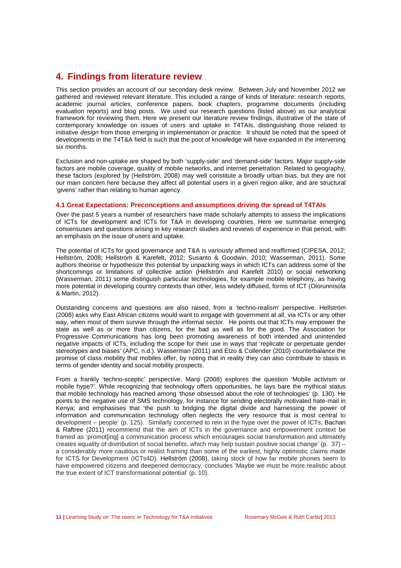### **4. Findings from literature review**

This section provides an account of our secondary desk review. Between July and November 2012 we gathered and reviewed relevant literature. This included a range of kinds of literature: research reports, academic journal articles, conference papers, book chapters, programme documents (including evaluation reports) and blog posts. We used our research questions (listed above) as our analytical framework for reviewing them. Here we present our literature review findings, illustrative of the state of contemporary knowledge on issues of users and uptake in T4TAIs, distinguishing those related to initiative design from those emerging in implementation or practice. It should be noted that the speed of developments in the T4T&A field is such that the pool of knowledge will have expanded in the intervening six months.

Exclusion and non-uptake are shaped by both 'supply-side' and 'demand-side' factors. Major supply-side factors are mobile coverage, quality of mobile networks, and internet penetration. Related to geography, these factors (explored by (Hellström, 2008) may well constitute a broadly urban bias, but they are not our main concern here because they affect all potential users in a given region alike, and are structural 'givens' rather than relating to human agency.

#### **4.1 Great Expectations: Preconceptions and assumptions driving the spread of T4TAIs**

Over the past 5 years a number of researchers have made scholarly attempts to assess the implications of ICTs for development and ICTs for T&A in developing countries. Here we summarise emerging consensuses and questions arising in key research studies and reviews of experience in that period, with an emphasis on the issue of users and uptake.

The potential of ICTs for good governance and T&A is variously affirmed and reaffirmed (CIPESA, 2012; Hellström, 2008; Hellström & Karefelt, 2012; Susanto & Goodwin, 2010; Wasserman, 2011). Some authors theorise or hypothesize this potential by unpacking ways in which ICTs can address some of the shortcomings or limitations of collective action (Hellström and Karefelt 2010) or social networking (Wasserman, 2011) some distinguish particular technologies, for example mobile telephony, as having more potential in developing country contexts than other, less widely diffused, forms of ICT (Olorunnisola & Martin, 2012).

Outstanding concerns and questions are also raised, from a 'techno-realism' perspective. Hellström (2008) asks why East African citizens would want to engage with government at all, via ICTs or any other way, when most of them survive through the informal sector. He points out that ICTs may empower the state as well as or more than citizens, for the bad as well as for the good. The Association for Progressive Communications has long been promoting awareness of both intended and unintended negative impacts of ICTs, including the scope for their use in ways that 'replicate or perpetuate gender stereotypes and biases' (APC, n.d.). Wasserman (2011) and Etzo & Collender (2010) counterbalance the promise of class mobility that mobiles offer, by noting that in reality they can also contribute to stasis in terms of gender identity and social mobility prospects.

From a frankly 'techno-sceptic' perspective, Manji (2008) explores the question 'Mobile activism or mobile hype?'. While recognizing that technology offers opportunities, he lays bare the mythical status that mobile technology has reached among 'those obsessed about the role of technologies' (p. 130). He points to the negative use of SMS technology, for instance for sending electorally motivated hate-mail in Kenya; and emphasises that 'the push to bridging the digital divide and harnessing the power of information and communication technology often neglects the very resource that is most central to development – people' (p. 125). Similarly concerned to rein in the hype over the power of ICTs, Bachan & Raftree (2011) recommend that the aim of ICTs in the governance and empowerment context be framed as 'promot[ing] a communication process which encourages social transformation and ultimately creates equality of distribution of social benefits, which may help sustain positive social change' (p. 37) – a considerably more cautious or realist framing than some of the earliest, highly optimistic claims made for ICTS for Development (ICTs4D). Hellström (2008), taking stock of how far mobile phones seem to have empowered citizens and deepened democracy, concludes 'Maybe we must be more realistic about the true extent of ICT transformational potential' (p. 10).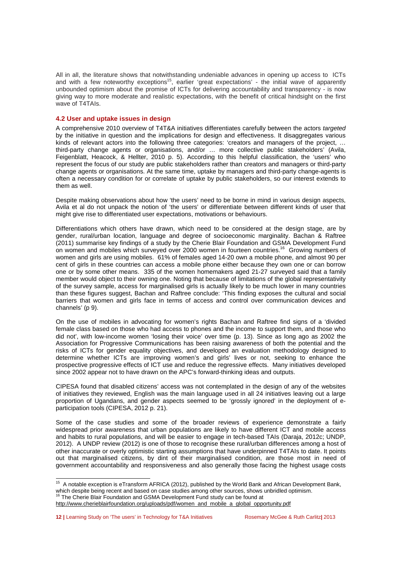All in all, the literature shows that notwithstanding undeniable advances in opening up access to ICTs and with a few noteworthy exceptions<sup>15</sup>, earlier 'great expectations' - the initial wave of apparently unbounded optimism about the promise of ICTs for delivering accountability and transparency - is now giving way to more moderate and realistic expectations, with the benefit of critical hindsight on the first wave of T4TAIs.

#### **4.2 User and uptake issues in design**

A comprehensive 2010 overview of T4T&A initiatives differentiates carefully between the actors targeted by the initiative in question and the implications for design and effectiveness. It disaggregates various kinds of relevant actors into the following three categories: 'creators and managers of the project, ... third-party change agents or organisations, and/or … more collective public stakeholders' (Avila, Feigenblatt, Heacock, & Hellter, 2010 p. 5). According to this helpful classification, the 'users' who represent the focus of our study are public stakeholders rather than creators and managers or third-party change agents or organisations. At the same time, uptake by managers and third-party change-agents is often a necessary condition for or correlate of uptake by public stakeholders, so our interest extends to them as well.

Despite making observations about how 'the users' need to be borne in mind in various design aspects, Avila et al do not unpack the notion of 'the users' or differentiate between different kinds of user that might give rise to differentiated user expectations, motivations or behaviours.

Differentiations which others have drawn, which need to be considered at the design stage, are by gender, rural/urban location, language and degree of socioeconomic marginality. Bachan & Raftree (2011) summarise key findings of a study by the Cherie Blair Foundation and GSMA Development Fund on women and mobiles which surveyed over 2000 women in fourteen countries.<sup>16</sup> Growing numbers of women and girls are using mobiles. 61% of females aged 14-20 own a mobile phone, and almost 90 per cent of girls in these countries can access a mobile phone either because they own one or can borrow one or by some other means. 335 of the women homemakers aged 21-27 surveyed said that a family member would object to their owning one. Noting that because of limitations of the global representativity of the survey sample, access for marginalised girls is actually likely to be much lower in many countries than these figures suggest, Bachan and Raftree conclude: 'This finding exposes the cultural and social barriers that women and girls face in terms of access and control over communication devices and channels' (p 9).

On the use of mobiles in advocating for women's rights Bachan and Raftree find signs of a 'divided female class based on those who had access to phones and the income to support them, and those who did not', with low-income women 'losing their voice' over time (p. 13). Since as long ago as 2002 the Association for Progressive Communications has been raising awareness of both the potential and the risks of ICTs for gender equality objectives, and developed an evaluation methodology designed to determine whether ICTs are improving women's and girls' lives or not, seeking to enhance the prospective progressive effects of ICT use and reduce the regressive effects. Many initiatives developed since 2002 appear not to have drawn on the APC's forward-thinking ideas and outputs.

CIPESA found that disabled citizens' access was not contemplated in the design of any of the websites of initiatives they reviewed, English was the main language used in all 24 initiatives leaving out a large proportion of Ugandans, and gender aspects seemed to be 'grossly ignored' in the deployment of eparticipation tools (CIPESA, 2012 p. 21).

Some of the case studies and some of the broader reviews of experience demonstrate a fairly widespread prior awareness that urban populations are likely to have different ICT and mobile access and habits to rural populations, and will be easier to engage in tech-based TAIs (Daraja, 2012c; UNDP, 2012). A UNDP review (2012) is one of those to recognise these rural/urban differences among a host of other inaccurate or overly optimistic starting assumptions that have underpinned T4TAIs to date. It points out that marginalised citizens, by dint of their marginalised condition, are those most in need of government accountability and responsiveness and also generally those facing the highest usage costs

http://www.cherieblairfoundation.org/uploads/pdf/women\_and\_mobile\_a\_global\_opportunity.pdf

-

<sup>&</sup>lt;sup>15</sup> A notable exception is eTransform AFRICA (2012), published by the World Bank and African Development Bank, which despite being recent and based on case studies among other sources, shows unbridled optimism.

<sup>&</sup>lt;sup>16</sup> The Cherie Blair Foundation and GSMA Development Fund study can be found at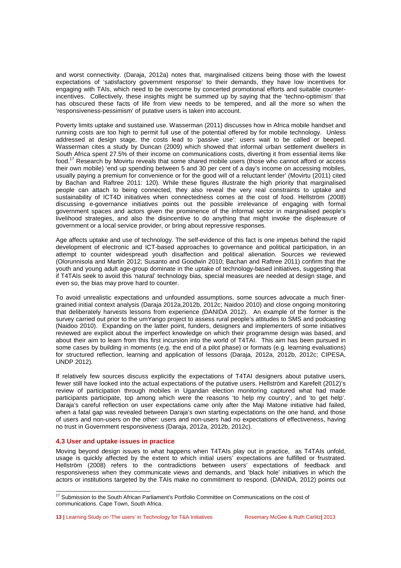and worst connectivity. (Daraja, 2012a) notes that, marginalised citizens being those with the lowest expectations of 'satisfactory government response' to their demands, they have low incentives for engaging with TAIs, which need to be overcome by concerted promotional efforts and suitable counterincentives. Collectively, these insights might be summed up by saying that the 'techno-optimism' that has obscured these facts of life from view needs to be tempered, and all the more so when the 'responsiveness-pessimism' of putative users is taken into account.

Poverty limits uptake and sustained use. Wasserman (2011) discusses how in Africa mobile handset and running costs are too high to permit full use of the potential offered by for mobile technology. Unless addressed at design stage, the costs lead to 'passive use': users wait to be called or beeped. Wasserman cites a study by Duncan (2009) which showed that informal urban settlement dwellers in South Africa spent 27.5% of their income on communications costs, diverting it from essential items like food.<sup>17</sup> Research by Movirtu reveals that some shared mobile users (those who cannot afford or access their own mobile) 'end up spending between 5 and 30 per cent of a day's income on accessing mobiles, usually paying a premium for convenience or for the good will of a reluctant lender' (Movirtu (2011) cited by Bachan and Raftree 2011: 120). While these figures illustrate the high priority that marginalised people can attach to being connected, they also reveal the very real constraints to uptake and sustainability of ICT4D initiatives when connectedness comes at the cost of food. Hellström (2008) discussing e-governance initiatives points out the possible irrelevance of engaging with formal government spaces and actors given the prominence of the informal sector in marginalised people's livelihood strategies, and also the disincentive to do anything that might invoke the displeasure of government or a local service provider, or bring about repressive responses.

Age affects uptake and use of technology. The self-evidence of this fact is one impetus behind the rapid development of electronic and ICT-based approaches to governance and political participation, in an attempt to counter widespread youth disaffection and political alienation. Sources we reviewed (Olorunnisola and Martin 2012; Susanto and Goodwin 2010; Bachan and Raftree 2011) confirm that the youth and young adult age-group dominate in the uptake of technology-based initiatives, suggesting that if T4TAIs seek to avoid this 'natural' technology bias, special measures are needed at design stage, and even so, the bias may prove hard to counter.

To avoid unrealistic expectations and unfounded assumptions, some sources advocate a much finergrained initial context analysis (Daraja 2012a,2012b, 2012c; Naidoo 2010) and close ongoing monitoring that deliberately harvests lessons from experience (DANIDA 2012). An example of the former is the survey carried out prior to the umYango project to assess rural people's attitudes to SMS and podcasting (Naidoo 2010). Expanding on the latter point, funders, designers and implementers of some initiatives reviewed are explicit about the imperfect knowledge on which their programme design was based, and about their aim to learn from this first incursion into the world of T4TAI. This aim has been pursued in some cases by building in moments (e.g. the end of a pilot phase) or formats (e.g. learning evaluations) for structured reflection, learning and application of lessons (Daraja, 2012a, 2012b, 2012c; CIPESA, UNDP 2012).

If relatively few sources discuss explicitly the expectations of T4TAI designers about putative users, fewer still have looked into the actual expectations of the putative users. Hellström and Karefelt (2012)'s review of participation through mobiles in Ugandan election monitoring captured what had made participants participate, top among which were the reasons 'to help my country', and 'to get help'. Daraja's careful reflection on user expectations came only after the Maji Matone initiative had failed, when a fatal gap was revealed between Daraja's own starting expectations on the one hand, and those of users and non-users on the other: users and non-users had no expectations of effectiveness, having no trust in Government responsiveness (Daraja, 2012a, 2012b, 2012c).

#### **4.3 User and uptake issues in practice**

-

Moving beyond design issues to what happens when T4TAIs play out in practice, as T4TAIs unfold, usage is quickly affected by the extent to which initial users' expectations are fulfilled or frustrated. Hellström (2008) refers to the contradictions between users' expectations of feedback and responsiveness when they communicate views and demands, and 'black hole' initiatives in which the actors or institutions targeted by the TAIs make no commitment to respond. (DANIDA, 2012) points out

<sup>&</sup>lt;sup>17</sup> Submission to the South African Parliament's Portfolio Committee on Communications on the cost of communications. Cape Town, South Africa.

<sup>13 |</sup> Learning Study on 'The users' in Technology for T&A Initiatives Rosemary McGee & Ruth Carlitz<sup>|</sup> 2013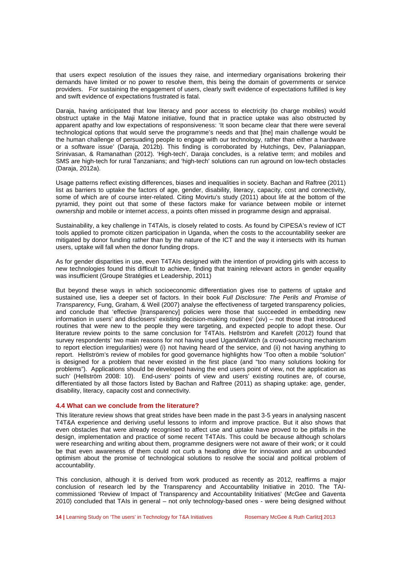that users expect resolution of the issues they raise, and intermediary organisations brokering their demands have limited or no power to resolve them, this being the domain of governments or service providers. For sustaining the engagement of users, clearly swift evidence of expectations fulfilled is key and swift evidence of expectations frustrated is fatal.

Daraja, having anticipated that low literacy and poor access to electricity (to charge mobiles) would obstruct uptake in the Maji Matone initiative, found that in practice uptake was also obstructed by apparent apathy and low expectations of responsiveness: 'It soon became clear that there were several technological options that would serve the programme's needs and that [the] main challenge would be the human challenge of persuading people to engage with our technology, rather than either a hardware or a software issue' (Daraja, 2012b). This finding is corroborated by Hutchings, Dev, Palaniappan, Srinivasan, & Ramanathan (2012). 'High-tech', Daraja concludes, is a relative term; and mobiles and SMS are high-tech for rural Tanzanians; and 'high-tech' solutions can run aground on low-tech obstacles (Daraja, 2012a).

Usage patterns reflect existing differences, biases and inequalities in society. Bachan and Raftree (2011) list as barriers to uptake the factors of age, gender, disability, literacy, capacity, cost and connectivity, some of which are of course inter-related. Citing Movirtu's study (2011) about life at the bottom of the pyramid, they point out that some of these factors make for variance between mobile or internet ownership and mobile or internet access, a points often missed in programme design and appraisal.

Sustainability, a key challenge in T4TAIs, is closely related to costs. As found by CIPESA's review of ICT tools applied to promote citizen participation in Uganda, when the costs to the accountability seeker are mitigated by donor funding rather than by the nature of the ICT and the way it intersects with its human users, uptake will fall when the donor funding drops.

As for gender disparities in use, even T4TAIs designed with the intention of providing girls with access to new technologies found this difficult to achieve, finding that training relevant actors in gender equality was insufficient (Groupe Stratégies et Leadership, 2011)

But beyond these ways in which socioeconomic differentiation gives rise to patterns of uptake and sustained use, lies a deeper set of factors. In their book Full Disclosure: The Perils and Promise of Transparency, Fung, Graham, & Weil (2007) analyse the effectiveness of targeted transparency policies, and conclude that 'effective [transparency] policies were those that succeeded in embedding new information in users' and disclosers' existing decision-making routines' (xiv) – not those that introduced routines that were new to the people they were targeting, and expected people to adopt these. Our literature review points to the same conclusion for T4TAIs. Hellström and Karefelt (2012) found that survey respondents' two main reasons for not having used UgandaWatch (a crowd-sourcing mechanism to report election irregularities) were (i) not having heard of the service, and (ii) not having anything to report. Hellström's review of mobiles for good governance highlights how 'Too often a mobile "solution" is designed for a problem that never existed in the first place (and "too many solutions looking for problems"). Applications should be developed having the end users point of view, not the application as such' (Hellström 2008: 10). End-users' points of view and users' existing routines are, of course, differentiated by all those factors listed by Bachan and Raftree (2011) as shaping uptake: age, gender, disability, literacy, capacity cost and connectivity.

#### **4.4 What can we conclude from the literature?**

This literature review shows that great strides have been made in the past 3-5 years in analysing nascent T4T&A experience and deriving useful lessons to inform and improve practice. But it also shows that even obstacles that were already recognised to affect use and uptake have proved to be pitfalls in the design, implementation and practice of some recent T4TAIs. This could be because although scholars were researching and writing about them, programme designers were not aware of their work; or it could be that even awareness of them could not curb a headlong drive for innovation and an unbounded optimism about the promise of technological solutions to resolve the social and political problem of accountability.

This conclusion, although it is derived from work produced as recently as 2012, reaffirms a major conclusion of research led by the Transparency and Accountability Initiative in 2010. The TAIcommissioned 'Review of Impact of Transparency and Accountability Initiatives' (McGee and Gaventa 2010) concluded that TAIs in general – not only technology-based ones - were being designed without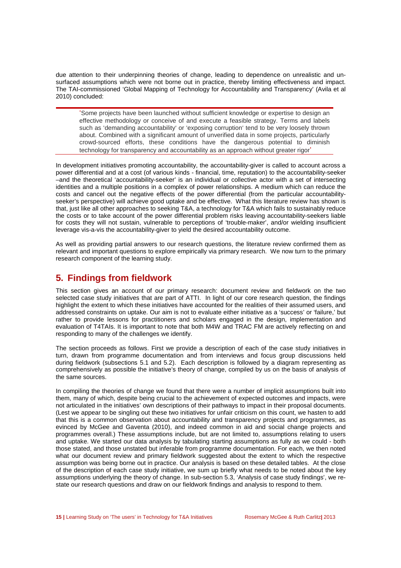due attention to their underpinning theories of change, leading to dependence on unrealistic and unsurfaced assumptions which were not borne out in practice, thereby limiting effectiveness and impact. The TAI-commissioned 'Global Mapping of Technology for Accountability and Transparency' (Avila et al 2010) concluded:

'Some projects have been launched without sufficient knowledge or expertise to design an effective methodology or conceive of and execute a feasible strategy. Terms and labels such as 'demanding accountability' or 'exposing corruption' tend to be very loosely thrown about. Combined with a significant amount of unverified data in some projects, particularly crowd-sourced efforts, these conditions have the dangerous potential to diminish technology for transparency and accountability as an approach without greater rigor'

In development initiatives promoting accountability, the accountability-giver is called to account across a power differential and at a cost (of various kinds - financial, time, reputation) to the accountability-seeker –and the theoretical 'accountability-seeker' is an individual or collective actor with a set of intersecting identities and a multiple positions in a complex of power relationships. A medium which can reduce the costs and cancel out the negative effects of the power differential (from the particular accountabilityseeker's perspective) will achieve good uptake and be effective. What this literature review has shown is that, just like all other approaches to seeking T&A, a technology for T&A which fails to sustainably reduce the costs or to take account of the power differential problem risks leaving accountability-seekers liable for costs they will not sustain, vulnerable to perceptions of 'trouble-maker', and/or wielding insufficient leverage vis-a-vis the accountability-giver to yield the desired accountability outcome.

As well as providing partial answers to our research questions, the literature review confirmed them as relevant and important questions to explore empirically via primary research. We now turn to the primary research component of the learning study.

## **5. Findings from fieldwork**

This section gives an account of our primary research: document review and fieldwork on the two selected case study initiatives that are part of ATTI. In light of our core research question, the findings highlight the extent to which these initiatives have accounted for the realities of their assumed users, and addressed constraints on uptake. Our aim is not to evaluate either initiative as a 'success' or 'failure,' but rather to provide lessons for practitioners and scholars engaged in the design, implementation and evaluation of T4TAIs. It is important to note that both M4W and TRAC FM are actively reflecting on and responding to many of the challenges we identify.

The section proceeds as follows. First we provide a description of each of the case study initiatives in turn, drawn from programme documentation and from interviews and focus group discussions held during fieldwork (subsections 5.1 and 5.2). Each description is followed by a diagram representing as comprehensively as possible the initiative's theory of change, compiled by us on the basis of analysis of the same sources.

In compiling the theories of change we found that there were a number of implicit assumptions built into them, many of which, despite being crucial to the achievement of expected outcomes and impacts, were not articulated in the initiatives' own descriptions of their pathways to impact in their proposal documents. (Lest we appear to be singling out these two initiatives for unfair criticism on this count, we hasten to add that this is a common observation about accountability and transparency projects and programmes, as evinced by McGee and Gaventa (2010), and indeed common in aid and social change projects and programmes overall.) These assumptions include, but are not limited to, assumptions relating to users and uptake. We started our data analysis by tabulating starting assumptions as fully as we could - both those stated, and those unstated but inferable from programme documentation. For each, we then noted what our document review and primary fieldwork suggested about the extent to which the respective assumption was being borne out in practice. Our analysis is based on these detailed tables. At the close of the description of each case study initiative, we sum up briefly what needs to be noted about the key assumptions underlying the theory of change. In sub-section 5.3, 'Analysis of case study findings', we restate our research questions and draw on our fieldwork findings and analysis to respond to them.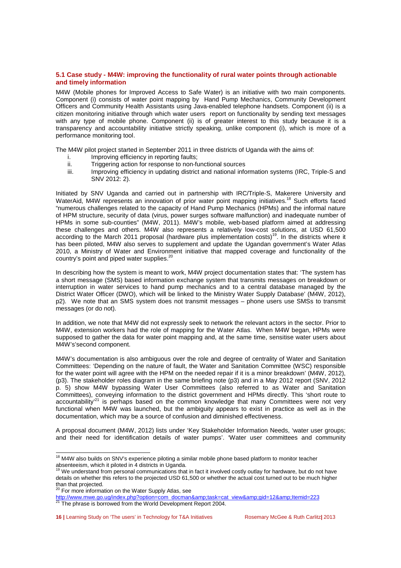#### **5.1 Case study - M4W: improving the functionality of rural water points through actionable and timely information**

M4W (Mobile phones for Improved Access to Safe Water) is an initiative with two main components. Component (i) consists of water point mapping by Hand Pump Mechanics, Community Development Officers and Community Health Assistants using Java‐enabled telephone handsets. Component (ii) is a citizen monitoring initiative through which water users report on functionality by sending text messages with any type of mobile phone. Component (ii) is of greater interest to this study because it is a transparency and accountability initiative strictly speaking, unlike component (i), which is more of a performance monitoring tool.

The M4W pilot project started in September 2011 in three districts of Uganda with the aims of:

- i. Improving efficiency in reporting faults;
- ii. Triggering action for response to non-functional sources
- iii. Improving efficiency in updating district and national information systems (IRC, Triple-S and SNV 2012: 2).

Initiated by SNV Uganda and carried out in partnership with IRC/Triple‐S, Makerere University and WaterAid, M4W represents an innovation of prior water point mapping initiatives.<sup>18</sup> Such efforts faced "numerous challenges related to the capacity of Hand Pump Mechanics (HPMs) and the informal nature of HPM structure, security of data (virus, power surges software malfunction) and inadequate number of HPMs in some sub-counties" (M4W, 2011). M4W's mobile, web-based platform aimed at addressing these challenges and others. M4W also represents a relatively low-cost solutions, at USD 61,500 according to the March 2011 proposal (hardware plus implementation costs)<sup>19</sup>. In the districts where it has been piloted, M4W also serves to supplement and update the Ugandan government's Water Atlas 2010, a Ministry of Water and Environment initiative that mapped coverage and functionality of the country's point and piped water supplies.<sup>20</sup>

In describing how the system is meant to work, M4W project documentation states that: 'The system has a short message (SMS) based information exchange system that transmits messages on breakdown or interruption in water services to hand pump mechanics and to a central database managed by the District Water Officer (DWO), which will be linked to the Ministry Water Supply Database' (M4W, 2012), p2). We note that an SMS system does not transmit messages – phone users use SMSs to transmit messages (or do not).

In addition, we note that M4W did not expressly seek to network the relevant actors in the sector. Prior to M4W, extension workers had the role of mapping for the Water Atlas. When M4W began, HPMs were supposed to gather the data for water point mapping and, at the same time, sensitise water users about M4W's'second component.

M4W's documentation is also ambiguous over the role and degree of centrality of Water and Sanitation Committees: 'Depending on the nature of fault, the Water and Sanitation Committee (WSC) responsible for the water point will agree with the HPM on the needed repair if it is a minor breakdown' (M4W, 2012), (p3). The stakeholder roles diagram in the same briefing note (p3) and in a May 2012 report (SNV, 2012 p. 5) show M4W bypassing Water User Committees (also referred to as Water and Sanitation Committees), conveying information to the district government and HPMs directly. This 'short route to accountability<sup>21</sup> is perhaps based on the common knowledge that many Committees were not very functional when M4W was launched, but the ambiguity appears to exist in practice as well as in the documentation, which may be a source of confusion and diminished effectiveness.

A proposal document (M4W, 2012) lists under 'Key Stakeholder Information Needs, 'water user groups; and their need for identification details of water pumps'. 'Water user committees and community

<sup>&</sup>lt;sup>18</sup> M4W also builds on SNV's experience piloting a similar mobile phone based platform to monitor teacher absenteeism, which it piloted in 4 districts in Uganda.

 $19$  We understand from personal communications that in fact it involved costly outlay for hardware, but do not have details on whether this refers to the projected USD 61,500 or whether the actual cost turned out to be much higher than that projected.

<sup>&</sup>lt;sup>20</sup> For more information on the Water Supply Atlas, see

<sup>&</sup>lt;u>http://www.mwe.go.ug/index.php?option=com\_docman&amp;task=cat\_view&amp;gid=12&amp;Itemid=223</u><br><sup>21</sup> The phrase is borrowed from the World Development Report 2004.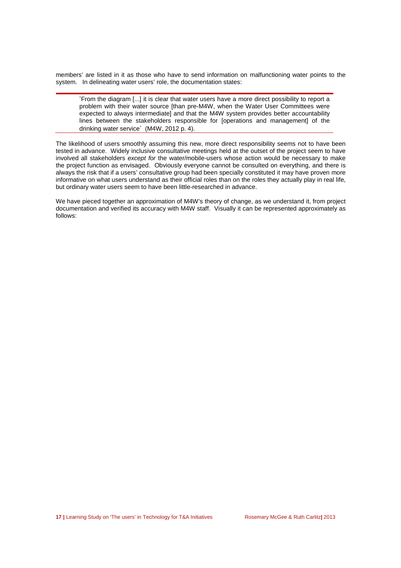members' are listed in it as those who have to send information on malfunctioning water points to the system. In delineating water users' role, the documentation states:

'From the diagram [...] it is clear that water users have a more direct possibility to report a problem with their water source [than pre-M4W, when the Water User Committees were expected to always intermediate] and that the M4W system provides better accountability lines between the stakeholders responsible for [operations and management] of the drinking water service' (M4W, 2012 p. 4).

The likelihood of users smoothly assuming this new, more direct responsibility seems not to have been tested in advance. Widely inclusive consultative meetings held at the outset of the project seem to have involved all stakeholders *except for* the water/mobile-users whose action would be necessary to make the project function as envisaged. Obviously everyone cannot be consulted on everything, and there is always the risk that if a users' consultative group had been specially constituted it may have proven more informative on what users understand as their official roles than on the roles they actually play in real life, but ordinary water users seem to have been little-researched in advance.

We have pieced together an approximation of M4W's theory of change, as we understand it, from project documentation and verified its accuracy with M4W staff. Visually it can be represented approximately as follows: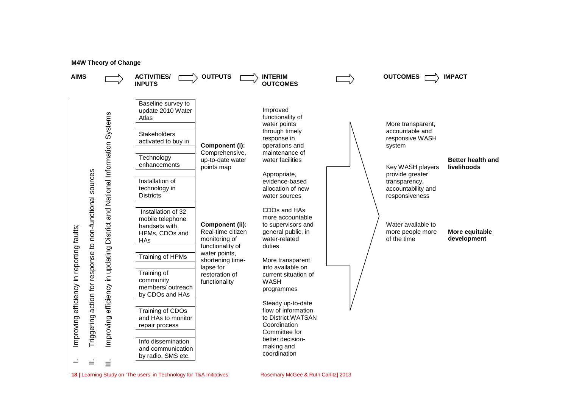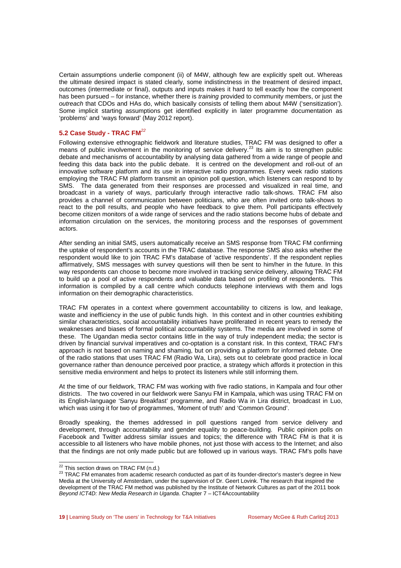Certain assumptions underlie component (ii) of M4W, although few are explicitly spelt out. Whereas the ultimate desired impact is stated clearly, some indistinctness in the treatment of desired impact, outcomes (intermediate or final), outputs and inputs makes it hard to tell exactly how the component has been pursued – for instance, whether there is *training* provided to community members, or just the outreach that CDOs and HAs do, which basically consists of telling them about M4W ('sensitization'). Some implicit starting assumptions get identified explicitly in later programme documentation as 'problems' and 'ways forward' (May 2012 report).

#### **5.2 Case Study - TRAC FM**<sup>22</sup>

Following extensive ethnographic fieldwork and literature studies, TRAC FM was designed to offer a means of public involvement in the monitoring of service delivery.<sup>23</sup> Its aim is to strengthen public debate and mechanisms of accountability by analysing data gathered from a wide range of people and feeding this data back into the public debate. It is centred on the development and roll-out of an innovative software platform and its use in interactive radio programmes. Every week radio stations employing the TRAC FM platform transmit an opinion poll question, which listeners can respond to by SMS. The data generated from their responses are processed and visualized in real time, and broadcast in a variety of ways, particularly through interactive radio talk-shows. TRAC FM also provides a channel of communication between politicians, who are often invited onto talk-shows to react to the poll results, and people who have feedback to give them. Poll participants effectively become citizen monitors of a wide range of services and the radio stations become hubs of debate and information circulation on the services, the monitoring process and the responses of government actors.

After sending an initial SMS, users automatically receive an SMS response from TRAC FM confirming the uptake of respondent's accounts in the TRAC database. The response SMS also asks whether the respondent would like to join TRAC FM's database of 'active respondents'. If the respondent replies affirmatively, SMS messages with survey questions will then be sent to him/her in the future. In this way respondents can choose to become more involved in tracking service delivery, allowing TRAC FM to build up a pool of active respondents and valuable data based on profiling of respondents. This information is compiled by a call centre which conducts telephone interviews with them and logs information on their demographic characteristics.

TRAC FM operates in a context where government accountability to citizens is low, and leakage, waste and inefficiency in the use of public funds high. In this context and in other countries exhibiting similar characteristics, social accountability initiatives have proliferated in recent years to remedy the weaknesses and biases of formal political accountability systems. The media are involved in some of these. The Ugandan media sector contains little in the way of truly independent media; the sector is driven by financial survival imperatives and co-optation is a constant risk. In this context, TRAC FM's approach is not based on naming and shaming, but on providing a platform for informed debate. One of the radio stations that uses TRAC FM (Radio Wa, Lira), sets out to celebrate good practice in local governance rather than denounce perceived poor practice, a strategy which affords it protection in this sensitive media environment and helps to protect its listeners while still informing them.

At the time of our fieldwork, TRAC FM was working with five radio stations, in Kampala and four other districts. The two covered in our fieldwork were Sanyu FM in Kampala, which was using TRAC FM on its English-language 'Sanyu Breakfast' programme, and Radio Wa in Lira district, broadcast in Luo, which was using it for two of programmes, 'Moment of truth' and 'Common Ground'.

Broadly speaking, the themes addressed in poll questions ranged from service delivery and development, through accountability and gender equality to peace-building. Public opinion polls on Facebook and Twitter address similar issues and topics; the difference with TRAC FM is that it is accessible to all listeners who have mobile phones, not just those with access to the Internet; and also that the findings are not only made public but are followed up in various ways. TRAC FM's polls have

-

 $^{22}$  This section draws on TRAC FM (n.d.)

<sup>&</sup>lt;sup>23</sup> TRAC FM emanates from academic research conducted as part of its founder-director's master's degree in New Media at the University of Amsterdam, under the supervision of Dr. Geert Lovink. The research that inspired the development of the TRAC FM method was published by the Institute of Network Cultures as part of the 2011 book Beyond ICT4D: New Media Research in Uganda. Chapter 7 – ICT4Accountability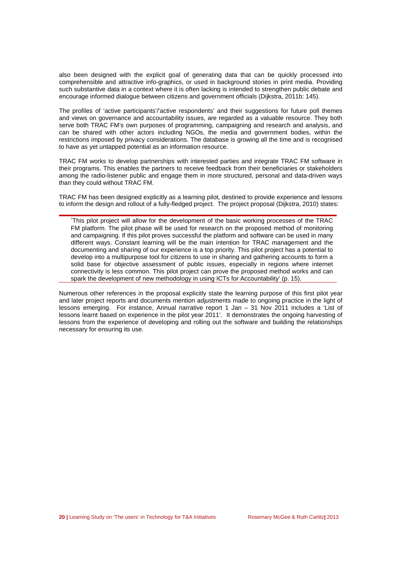also been designed with the explicit goal of generating data that can be quickly processed into comprehensible and attractive info-graphics, or used in background stories in print media. Providing such substantive data in a context where it is often lacking is intended to strengthen public debate and encourage informed dialogue between citizens and government officials (Dijkstra, 2011b: 145).

The profiles of 'active participants'/'active respondents' and their suggestions for future poll themes and views on governance and accountability issues, are regarded as a valuable resource. They both serve both TRAC FM's own purposes of programming, campaigning and research and analysis, and can be shared with other actors including NGOs, the media and government bodies, within the restrictions imposed by privacy considerations. The database is growing all the time and is recognised to have as yet untapped potential as an information resource.

TRAC FM works to develop partnerships with interested parties and integrate TRAC FM software in their programs. This enables the partners to receive feedback from their beneficiaries or stakeholders among the radio-listener public and engage them in more structured, personal and data-driven ways than they could without TRAC FM.

TRAC FM has been designed explicitly as a learning pilot, destined to provide experience and lessons to inform the design and rollout of a fully-fledged project. The project proposal (Dijkstra, 2010) states:

'This pilot project will allow for the development of the basic working processes of the TRAC FM platform. The pilot phase will be used for research on the proposed method of monitoring and campaigning. If this pilot proves successful the platform and software can be used in many different ways. Constant learning will be the main intention for TRAC management and the documenting and sharing of our experience is a top priority. This pilot project has a potential to develop into a multipurpose tool for citizens to use in sharing and gathering accounts to form a solid base for objective assessment of public issues, especially in regions where internet connectivity is less common. This pilot project can prove the proposed method works and can spark the development of new methodology in using ICTs for Accountability' (p. 15).

Numerous other references in the proposal explicitly state the learning purpose of this first pilot year and later project reports and documents mention adjustments made to ongoing practice in the light of lessons emerging. For instance, Annual narrative report 1 Jan - 31 Nov 2011 includes a 'List of lessons learnt based on experience in the pilot year 2011'. It demonstrates the ongoing harvesting of lessons from the experience of developing and rolling out the software and building the relationships necessary for ensuring its use.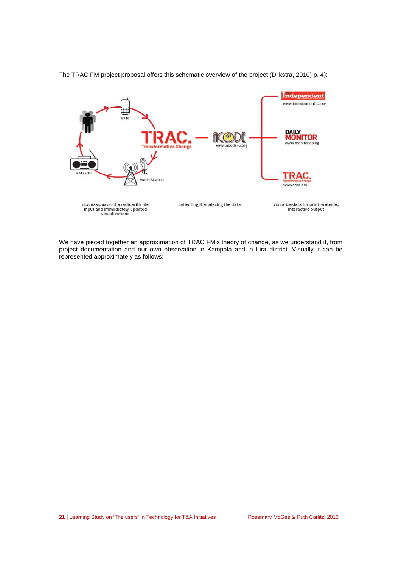

The TRAC FM project proposal offers this schematic overview of the project (Dijkstra, 2010) p. 4):

We have pieced together an approximation of TRAC FM's theory of change, as we understand it, from project documentation and our own observation in Kampala and in Lira district. Visually it can be represented approximately as follows: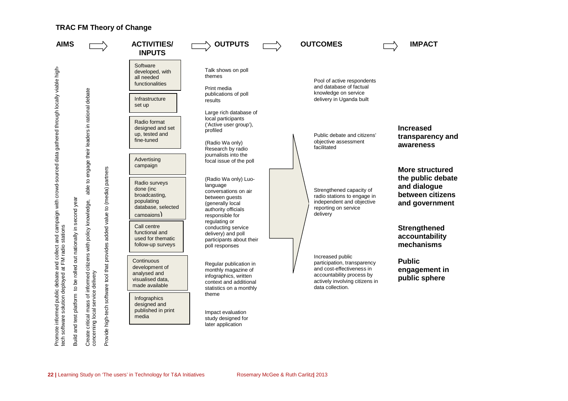## **TRAC FM Theory of Change**

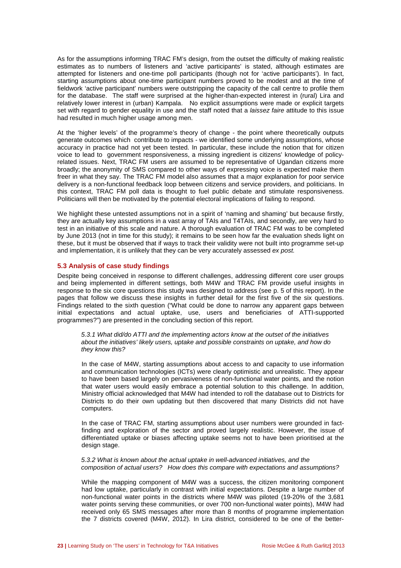As for the assumptions informing TRAC FM's design, from the outset the difficulty of making realistic estimates as to numbers of listeners and 'active participants' is stated, although estimates are attempted for listeners and one-time poll participants (though not for 'active participants'). In fact, starting assumptions about one-time participant numbers proved to be modest and at the time of fieldwork 'active participant' numbers were outstripping the capacity of the call centre to profile them for the database. The staff were surprised at the higher-than-expected interest in (rural) Lira and relatively lower interest in (urban) Kampala. No explicit assumptions were made or explicit targets set with regard to gender equality in use and the staff noted that a *laissez faire* attitude to this issue had resulted in much higher usage among men.

At the 'higher levels' of the programme's theory of change - the point where theoretically outputs generate outcomes which contribute to impacts - we identified some underlying assumptions, whose accuracy in practice had not yet been tested. In particular, these include the notion that for citizen voice to lead to government responsiveness, a missing ingredient is citizens' knowledge of policyrelated issues. Next, TRAC FM users are assumed to be representative of Ugandan citizens more broadly; the anonymity of SMS compared to other ways of expressing voice is expected make them freer in what they say. The TRAC FM model also assumes that a major explanation for poor service delivery is a non-functional feedback loop between citizens and service providers, and politicians. In this context, TRAC FM poll data is thought to fuel public debate and stimulate responsiveness. Politicians will then be motivated by the potential electoral implications of failing to respond.

We highlight these untested assumptions not in a spirit of 'naming and shaming' but because firstly, they are actually key assumptions in a vast array of TAIs and T4TAIs, and secondly, are very hard to test in an initiative of this scale and nature. A thorough evaluation of TRAC FM was to be completed by June 2013 (not in time for this study); it remains to be seen how far the evaluation sheds light on these, but it must be observed that if ways to track their validity were not built into programme set-up and implementation, it is unlikely that they can be very accurately assessed ex post.

#### **5.3 Analysis of case study findings**

Despite being conceived in response to different challenges, addressing different core user groups and being implemented in different settings, both M4W and TRAC FM provide useful insights in response to the six core questions this study was designed to address (see p. 5 of this report). In the pages that follow we discuss these insights in further detail for the first five of the six questions. Findings related to the sixth question ("What could be done to narrow any apparent gaps between initial expectations and actual uptake, use, users and beneficiaries of ATTI-supported programmes?") are presented in the concluding section of this report.

5.3.1 What did/do ATTI and the implementing actors know at the outset of the initiatives about the initiatives' likely users, uptake and possible constraints on uptake, and how do they know this?

In the case of M4W, starting assumptions about access to and capacity to use information and communication technologies (ICTs) were clearly optimistic and unrealistic. They appear to have been based largely on pervasiveness of non-functional water points, and the notion that water users would easily embrace a potential solution to this challenge. In addition, Ministry official acknowledged that M4W had intended to roll the database out to Districts for Districts to do their own updating but then discovered that many Districts did not have computers.

In the case of TRAC FM, starting assumptions about user numbers were grounded in factfinding and exploration of the sector and proved largely realistic. However, the issue of differentiated uptake or biases affecting uptake seems not to have been prioritised at the design stage.

#### 5.3.2 What is known about the actual uptake in well-advanced initiatives, and the composition of actual users? How does this compare with expectations and assumptions?

While the mapping component of M4W was a success, the citizen monitoring component had low uptake, particularly in contrast with initial expectations. Despite a large number of non-functional water points in the districts where M4W was piloted (19-20% of the 3,681 water points serving these communities, or over 700 non-functional water points), M4W had received only 65 SMS messages after more than 8 months of programme implementation the 7 districts covered (M4W, 2012). In Lira district, considered to be one of the better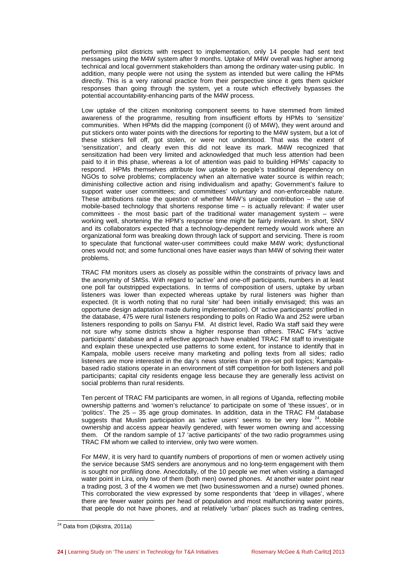performing pilot districts with respect to implementation, only 14 people had sent text messages using the M4W system after 9 months. Uptake of M4W overall was higher among technical and local government stakeholders than among the ordinary water-using public. In addition, many people were not using the system as intended but were calling the HPMs directly. This is a very rational practice from their perspective since it gets them quicker responses than going through the system, yet a route which effectively bypasses the potential accountability-enhancing parts of the M4W process.

Low uptake of the citizen monitoring component seems to have stemmed from limited awareness of the programme, resulting from insufficient efforts by HPMs to 'sensitize' communities. When HPMs did the mapping (component (i) of M4W), they went around and put stickers onto water points with the directions for reporting to the M4W system, but a lot of these stickers fell off, got stolen, or were not understood. That was the extent of 'sensitization', and clearly even this did not leave its mark. M4W recognized that sensitization had been very limited and acknowledged that much less attention had been paid to it in this phase, whereas a lot of attention was paid to building HPMs' capacity to respond. HPMs themselves attribute low uptake to people's traditional dependency on NGOs to solve problems; complacency when an alternative water source is within reach; diminishing collective action and rising individualism and apathy; Government's failure to support water user committees; and committees' voluntary and non-enforceable nature. These attributions raise the question of whether  $M4W$ 's unique contribution – the use of mobile-based technology that shortens response time – is actually relevant: if water user committees - the most basic part of the traditional water management system – were working well, shortening the HPM's response time might be fairly irrelevant. In short, SNV and its collaborators expected that a technology-dependent remedy would work where an organizational form was breaking down through lack of support and servicing. There is room to speculate that functional water-user committees could make M4W work; dysfunctional ones would not; and some functional ones have easier ways than M4W of solving their water problems.

TRAC FM monitors users as closely as possible within the constraints of privacy laws and the anonymity of SMSs. With regard to 'active' and one-off participants, numbers in at least one poll far outstripped expectations. In terms of composition of users, uptake by urban listeners was lower than expected whereas uptake by rural listeners was higher than expected. (It is worth noting that no rural 'site' had been initially envisaged; this was an opportune design adaptation made during implementation). Of 'active participants' profiled in the database, 475 were rural listeners responding to polls on Radio Wa and 252 were urban listeners responding to polls on Sanyu FM. At district level, Radio Wa staff said they were not sure why some districts show a higher response than others. TRAC FM's 'active participants' database and a reflective approach have enabled TRAC FM staff to investigate and explain these unexpected use patterns to some extent, for instance to identify that in Kampala, mobile users receive many marketing and polling texts from all sides; radio listeners are more interested in the day's news stories than in pre-set poll topics; Kampalabased radio stations operate in an environment of stiff competition for both listeners and poll participants; capital city residents engage less because they are generally less activist on social problems than rural residents.

Ten percent of TRAC FM participants are women, in all regions of Uganda, reflecting mobile ownership patterns and 'women's reluctance' to participate on some of 'these issues', or in 'politics'. The 25 – 35 age group dominates. In addition, data in the TRAC FM database suggests that Muslim participation as 'active users' seems to be very low<sup>24</sup>. Mobile ownership and access appear heavily gendered, with fewer women owning and accessing them. Of the random sample of 17 'active participants' of the two radio programmes using TRAC FM whom we called to interview, only two were women.

For M4W, it is very hard to quantify numbers of proportions of men or women actively using the service because SMS senders are anonymous and no long-term engagement with them is sought nor profiling done. Anecdotally, of the 10 people we met when visiting a damaged water point in Lira, only two of them (both men) owned phones. At another water point near a trading post, 3 of the 4 women we met (two businesswomen and a nurse) owned phones. This corroborated the view expressed by some respondents that 'deep in villages', where there are fewer water points per head of population and most malfunctioning water points, that people do not have phones, and at relatively 'urban' places such as trading centres,

<sup>&</sup>lt;sup>24</sup> Data from (Dijkstra, 2011a)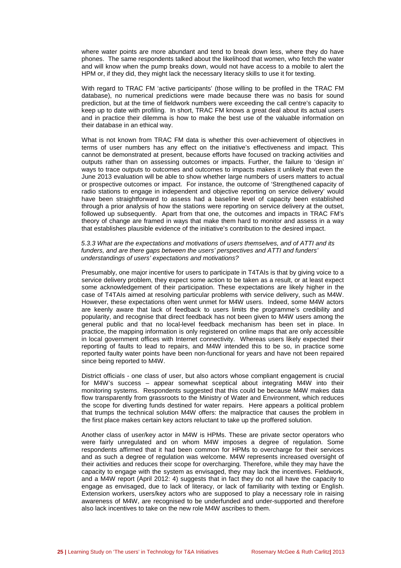where water points are more abundant and tend to break down less, where they do have phones. The same respondents talked about the likelihood that women, who fetch the water and will know when the pump breaks down, would not have access to a mobile to alert the HPM or, if they did, they might lack the necessary literacy skills to use it for texting.

With regard to TRAC FM 'active participants' (those willing to be profiled in the TRAC FM database), no numerical predictions were made because there was no basis for sound prediction, but at the time of fieldwork numbers were exceeding the call centre's capacity to keep up to date with profiling. In short, TRAC FM knows a great deal about its actual users and in practice their dilemma is how to make the best use of the valuable information on their database in an ethical way.

What is not known from TRAC FM data is whether this over-achievement of objectives in terms of user numbers has any effect on the initiative's effectiveness and impact. This cannot be demonstrated at present, because efforts have focused on tracking activities and outputs rather than on assessing outcomes or impacts. Further, the failure to 'design in' ways to trace outputs to outcomes and outcomes to impacts makes it unlikely that even the June 2013 evaluation will be able to show whether large numbers of users matters to actual or prospective outcomes or impact. For instance, the outcome of 'Strengthened capacity of radio stations to engage in independent and objective reporting on service delivery' would have been straightforward to assess had a baseline level of capacity been established through a prior analysis of how the stations were reporting on service delivery at the outset, followed up subsequently. Apart from that one, the outcomes and impacts in TRAC FM's theory of change are framed in ways that make them hard to monitor and assess in a way that establishes plausible evidence of the initiative's contribution to the desired impact.

#### 5.3.3 What are the expectations and motivations of users themselves, and of ATTI and its funders, and are there gaps between the users' perspectives and ATTI and funders' understandings of users' expectations and motivations?

Presumably, one major incentive for users to participate in T4TAIs is that by giving voice to a service delivery problem, they expect some action to be taken as a result, or at least expect some acknowledgement of their participation. These expectations are likely higher in the case of T4TAIs aimed at resolving particular problems with service delivery, such as M4W. However, these expectations often went unmet for M4W users. Indeed, some M4W actors are keenly aware that lack of feedback to users limits the programme's credibility and popularity, and recognise that direct feedback has not been given to M4W users among the general public and that no local-level feedback mechanism has been set in place. In practice, the mapping information is only registered on online maps that are only accessible in local government offices with Internet connectivity. Whereas users likely expected their reporting of faults to lead to repairs, and M4W intended this to be so, in practice some reported faulty water points have been non-functional for years and have not been repaired since being reported to M4W.

District officials - one class of user, but also actors whose compliant engagement is crucial for M4W's success – appear somewhat sceptical about integrating M4W into their monitoring systems. Respondents suggested that this could be because M4W makes data flow transparently from grassroots to the Ministry of Water and Environment, which reduces the scope for diverting funds destined for water repairs. Here appears a political problem that trumps the technical solution M4W offers: the malpractice that causes the problem in the first place makes certain key actors reluctant to take up the proffered solution.

Another class of user/key actor in M4W is HPMs. These are private sector operators who were fairly unregulated and on whom M4W imposes a degree of regulation. Some respondents affirmed that it had been common for HPMs to overcharge for their services and as such a degree of regulation was welcome. M4W represents increased oversight of their activities and reduces their scope for overcharging. Therefore, while they may have the capacity to engage with the system as envisaged, they may lack the incentives. Fieldwork, and a M4W report (April 2012: 4) suggests that in fact they do not all have the capacity to engage as envisaged, due to lack of literacy, or lack of familiarity with texting or English. Extension workers, users/key actors who are supposed to play a necessary role in raising awareness of M4W, are recognised to be underfunded and under-supported and therefore also lack incentives to take on the new role M4W ascribes to them.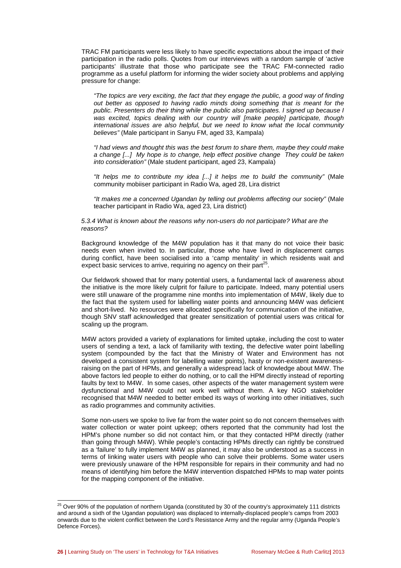TRAC FM participants were less likely to have specific expectations about the impact of their participation in the radio polls. Quotes from our interviews with a random sample of 'active participants' illustrate that those who participate see the TRAC FM-connected radio programme as a useful platform for informing the wider society about problems and applying pressure for change:

"The topics are very exciting, the fact that they engage the public, a good way of finding out better as opposed to having radio minds doing something that is meant for the public. Presenters do their thing while the public also participates. I signed up because I was excited, topics dealing with our country will [make people] participate, though international issues are also helpful, but we need to know what the local community believes" (Male participant in Sanyu FM, aged 33, Kampala)

"I had views and thought this was the best forum to share them, maybe they could make a change [...] My hope is to change, help effect positive change They could be taken into consideration" (Male student participant, aged 23, Kampala)

"It helps me to contribute my idea [...] it helps me to build the community" (Male community mobiiser participant in Radio Wa, aged 28, Lira district

"It makes me a concerned Ugandan by telling out problems affecting our society" (Male teacher participant in Radio Wa, aged 23, Lira district)

#### 5.3.4 What is known about the reasons why non-users do not participate? What are the reasons?

Background knowledge of the M4W population has it that many do not voice their basic needs even when invited to. In particular, those who have lived in displacement camps during conflict, have been socialised into a 'camp mentality' in which residents wait and expect basic services to arrive, requiring no agency on their part $25$ .

Our fieldwork showed that for many potential users, a fundamental lack of awareness about the initiative is the more likely culprit for failure to participate. Indeed, many potential users were still unaware of the programme nine months into implementation of M4W, likely due to the fact that the system used for labelling water points and announcing M4W was deficient and short-lived. No resources were allocated specifically for communication of the initiative, though SNV staff acknowledged that greater sensitization of potential users was critical for scaling up the program.

M4W actors provided a variety of explanations for limited uptake, including the cost to water users of sending a text, a lack of familiarity with texting, the defective water point labelling system (compounded by the fact that the Ministry of Water and Environment has not developed a consistent system for labelling water points), hasty or non-existent awarenessraising on the part of HPMs, and generally a widespread lack of knowledge about M4W. The above factors led people to either do nothing, or to call the HPM directly instead of reporting faults by text to M4W. In some cases, other aspects of the water management system were dysfunctional and M4W could not work well without them. A key NGO stakeholder recognised that M4W needed to better embed its ways of working into other initiatives, such as radio programmes and community activities.

Some non-users we spoke to live far from the water point so do not concern themselves with water collection or water point upkeep; others reported that the community had lost the HPM's phone number so did not contact him, or that they contacted HPM directly (rather than going through M4W). While people's contacting HPMs directly can rightly be construed as a 'failure' to fully implement M4W as planned, it may also be understood as a success in terms of linking water users with people who can solve their problems. Some water users were previously unaware of the HPM responsible for repairs in their community and had no means of identifying him before the M4W intervention dispatched HPMs to map water points for the mapping component of the initiative.

 $25$  Over 90% of the population of northern Uganda (constituted by 30 of the country's approximately 111 districts and around a sixth of the Ugandan population) was displaced to internally-displaced people's camps from 2003 onwards due to the violent conflict between the Lord's Resistance Army and the regular army (Uganda People's Defence Forces).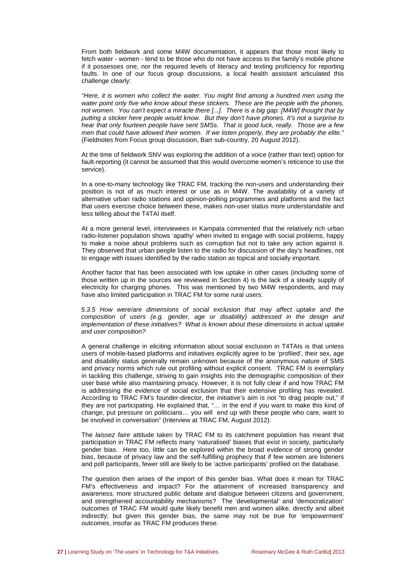From both fieldwork and some M4W documentation, it appears that those most likely to fetch water - women - tend to be those who do not have access to the family's mobile phone if it possesses one, nor the required levels of literacy and texting proficiency for reporting faults. In one of our focus group discussions, a local health assistant articulated this challenge clearly:

"Here, it is women who collect the water. You might find among a hundred men using the water point only five who know about these stickers. These are the people with the phones, not women. You can't expect a miracle there [...]. There is a big gap: [M4W] thought that by putting a sticker here people would know. But they don't have phones. It's not a surprise to hear that only fourteen people have sent SMSs. That is good luck, really. Those are a few men that could have allowed their women. If we listen properly, they are probably the elite." (Fieldnotes from Focus group discussion, Barr sub-country, 20 August 2012).

At the time of fieldwork SNV was exploring the addition of a voice (rather than text) option for fault-reporting (it cannot be assumed that this would overcome women's reticence to use the service).

In a one-to-many technology like TRAC FM, tracking the non-users and understanding their position is not of as much interest or use as in M4W. The availability of a variety of alternative urban radio stations and opinion-polling programmes and platforms and the fact that users exercise choice between these, makes non-user status more understandable and less telling about the T4TAI itself.

At a more general level, interviewees in Kampala commented that the relatively rich urban radio-listener population shows 'apathy' when invited to engage with social problems, happy to make a noise about problems such as corruption but not to take any action against it. They observed that urban people listen to the radio for discussion of the day's headlines, not to engage with issues identified by the radio station as topical and socially important.

Another factor that has been associated with low uptake in other cases (including some of those written up in the sources we reviewed in Section 4) is the lack of a steady supply of electricity for charging phones. This was mentioned by two M4W respondents, and may have also limited participation in TRAC FM for some rural users.

5.3.5 How were/are dimensions of social exclusion that may affect uptake and the composition of users (e.g. gender, age or disability) addressed in the design and implementation of these initiatives? What is known about these dimensions in actual uptake and user composition?

A general challenge in eliciting information about social exclusion in T4TAIs is that unless users of mobile-based platforms and initiatives explicitly agree to be 'profiled', their sex, age and disability status generally remain unknown because of the anonymous nature of SMS and privacy norms which rule out profiling without explicit consent. TRAC FM is exemplary in tackling this challenge, striving to gain insights into the demographic composition of their user base while also maintaining privacy. However, it is not fully clear if and how TRAC FM is addressing the evidence of social exclusion that their extensive profiling has revealed. According to TRAC FM's founder-director, the initiative's aim is not "to drag people out," if they are not participating. He explained that, "… in the end if you want to make this kind of change, put pressure on politicians… you will end up with these people who care, want to be involved in conversation" (Interview at TRAC FM, August 2012).

The laissez faire attitude taken by TRAC FM to its catchment population has meant that participation in TRAC FM reflects many 'naturalised' biases that exist in society, particularly gender bias. Here too, little can be explored within the broad evidence of strong gender bias, because of privacy law and the self-fulfilling prophecy that if few women are listeners and poll participants, fewer still are likely to be 'active participants' profiled on the database.

The question then arises of the import of this gender bias. What does it mean for TRAC FM's effectiveness and impact? For the attainment of increased transparency and awareness, more structured public debate and dialogue between citizens and government, and strengthened accountability mechanisms? The 'developmental' and 'democratization' outcomes of TRAC FM would quite likely benefit men and women alike, directly and albeit indirectly; but given this gender bias, the same may not be true for 'empowerment' outcomes, insofar as TRAC FM produces these.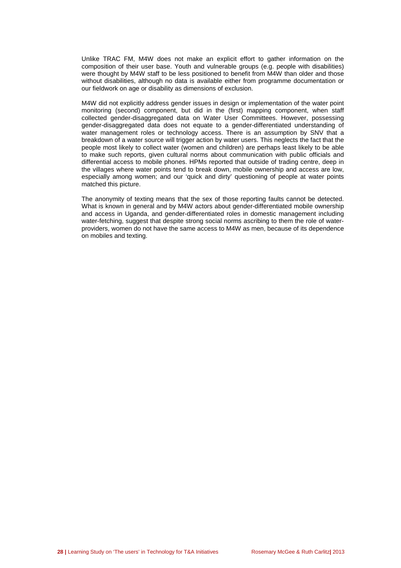Unlike TRAC FM, M4W does not make an explicit effort to gather information on the composition of their user base. Youth and vulnerable groups (e.g. people with disabilities) were thought by M4W staff to be less positioned to benefit from M4W than older and those without disabilities, although no data is available either from programme documentation or our fieldwork on age or disability as dimensions of exclusion.

M4W did not explicitly address gender issues in design or implementation of the water point monitoring (second) component, but did in the (first) mapping component, when staff collected gender-disaggregated data on Water User Committees. However, possessing gender-disaggregated data does not equate to a gender-differentiated understanding of water management roles or technology access. There is an assumption by SNV that a breakdown of a water source will trigger action by water users. This neglects the fact that the people most likely to collect water (women and children) are perhaps least likely to be able to make such reports, given cultural norms about communication with public officials and differential access to mobile phones. HPMs reported that outside of trading centre, deep in the villages where water points tend to break down, mobile ownership and access are low, especially among women; and our 'quick and dirty' questioning of people at water points matched this picture.

The anonymity of texting means that the sex of those reporting faults cannot be detected. What is known in general and by M4W actors about gender-differentiated mobile ownership and access in Uganda, and gender-differentiated roles in domestic management including water-fetching, suggest that despite strong social norms ascribing to them the role of waterproviders, women do not have the same access to M4W as men, because of its dependence on mobiles and texting.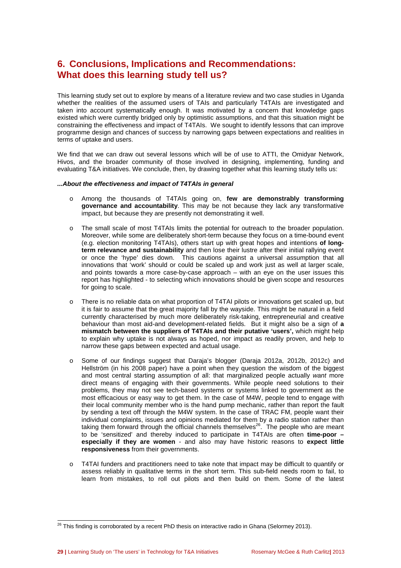## **6. Conclusions, Implications and Recommendations: What does this learning study tell us?**

This learning study set out to explore by means of a literature review and two case studies in Uganda whether the realities of the assumed users of TAIs and particularly T4TAIs are investigated and taken into account systematically enough. It was motivated by a concern that knowledge gaps existed which were currently bridged only by optimistic assumptions, and that this situation might be constraining the effectiveness and impact of T4TAIs. We sought to identify lessons that can improve programme design and chances of success by narrowing gaps between expectations and realities in terms of uptake and users.

We find that we can draw out several lessons which will be of use to ATTI, the Omidyar Network, Hivos, and the broader community of those involved in designing, implementing, funding and evaluating T&A initiatives. We conclude, then, by drawing together what this learning study tells us:

#### **...About the effectiveness and impact of T4TAIs in general**

- o Among the thousands of T4TAIs going on, **few are demonstrably transforming governance and accountability**. This may be not because they lack any transformative impact, but because they are presently not demonstrating it well.
- o The small scale of most T4TAIs limits the potential for outreach to the broader population. Moreover, while some are deliberately short-term because they focus on a time-bound event (e.g. election monitoring T4TAIs), others start up with great hopes and intentions **of longterm relevance and sustainability** and then lose their lustre after their initial rallying event or once the 'hype' dies down. This cautions against a universal assumption that all innovations that 'work' should or could be scaled up and work just as well at larger scale, and points towards a more case-by-case approach – with an eye on the user issues this report has highlighted - to selecting which innovations should be given scope and resources for going to scale.
- o There is no reliable data on what proportion of T4TAI pilots or innovations get scaled up, but it is fair to assume that the great majority fall by the wayside. This might be natural in a field currently characterised by much more deliberately risk-taking, entrepreneurial and creative behaviour than most aid-and development-related fields. But it might also be a sign of **a mismatch between the suppliers of T4TAIs and their putative 'users',** which might help to explain why uptake is not always as hoped, nor impact as readily proven, and help to narrow these gaps between expected and actual usage.
- o Some of our findings suggest that Daraja's blogger (Daraja 2012a, 2012b, 2012c) and Hellström (in his 2008 paper) have a point when they question the wisdom of the biggest and most central starting assumption of all: that marginalized people actually want more direct means of engaging with their governments. While people need solutions to their problems, they may not see tech-based systems or systems linked to government as the most efficacious or easy way to get them. In the case of M4W, people tend to engage with their local community member who is the hand pump mechanic, rather than report the fault by sending a text off through the M4W system. In the case of TRAC FM, people want their individual complaints, issues and opinions mediated for them by a radio station rather than taking them forward through the official channels themselves<sup>26</sup>. The people who are meant to be 'sensitized' and thereby induced to participate in T4TAIs are often **time-poor – especially if they are women** - and also may have historic reasons to **expect little responsiveness** from their governments.
- o T4TAI funders and practitioners need to take note that impact may be difficult to quantify or assess reliably in qualitative terms in the short term. This sub-field needs room to fail, to learn from mistakes, to roll out pilots and then build on them. Some of the latest

 $\overline{a}$  $26$  This finding is corroborated by a recent PhD thesis on interactive radio in Ghana (Selormey 2013).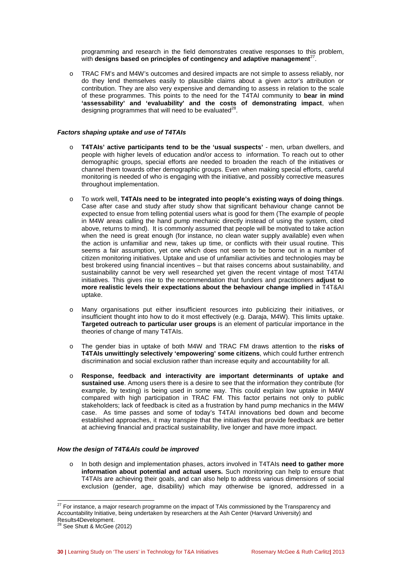programming and research in the field demonstrates creative responses to this problem, with designs based on principles of contingency and adaptive management<sup>27</sup>.

o TRAC FM's and M4W's outcomes and desired impacts are not simple to assess reliably, nor do they lend themselves easily to plausible claims about a given actor's attribution or contribution. They are also very expensive and demanding to assess in relation to the scale of these programmes. This points to the need for the T4TAI community to **bear in mind 'assessability' and 'evaluability' and the costs of demonstrating impact**, when designing programmes that will need to be evaluated $^{28}$ .

#### **Factors shaping uptake and use of T4TAIs**

- **T4TAIs' active participants tend to be the 'usual suspects' men, urban dwellers, and** people with higher levels of education and/or access to information. To reach out to other demographic groups, special efforts are needed to broaden the reach of the initiatives or channel them towards other demographic groups. Even when making special efforts, careful monitoring is needed of who is engaging with the initiative, and possibly corrective measures throughout implementation.
- o To work well, **T4TAIs need to be integrated into people's existing ways of doing things**. Case after case and study after study show that significant behaviour change cannot be expected to ensue from telling potential users what is good for them (The example of people in M4W areas calling the hand pump mechanic directly instead of using the system, cited above, returns to mind). It is commonly assumed that people will be motivated to take action when the need is great enough (for instance, no clean water supply available) even when the action is unfamiliar and new, takes up time, or conflicts with their usual routine. This seems a fair assumption, yet one which does not seem to be borne out in a number of citizen monitoring initiatives. Uptake and use of unfamiliar activities and technologies may be best brokered using financial incentives – but that raises concerns about sustainability, and sustainability cannot be very well researched yet given the recent vintage of most T4TAI initiatives. This gives rise to the recommendation that funders and practitioners **adjust to more realistic levels their expectations about the behaviour change implied** in T4T&AI uptake.
- o Many organisations put either insufficient resources into publicizing their initiatives, or insufficient thought into how to do it most effectively (e.g. Daraja, M4W). This limits uptake. **Targeted outreach to particular user groups** is an element of particular importance in the theories of change of many T4TAIs.
- o The gender bias in uptake of both M4W and TRAC FM draws attention to the **risks of T4TAIs unwittingly selectively 'empowering' some citizens**, which could further entrench discrimination and social exclusion rather than increase equity and accountability for all.
- o **Response, feedback and interactivity are important determinants of uptake and sustained use**. Among users there is a desire to see that the information they contribute (for example, by texting) is being used in some way. This could explain low uptake in M4W compared with high participation in TRAC FM. This factor pertains not only to public stakeholders; lack of feedback is cited as a frustration by hand pump mechanics in the M4W case. As time passes and some of today's T4TAI innovations bed down and become established approaches, it may transpire that the initiatives that provide feedback are better at achieving financial and practical sustainability, live longer and have more impact.

#### **How the design of T4T&AIs could be improved**

o In both design and implementation phases, actors involved in T4TAIs **need to gather more information about potential and actual users.** Such monitoring can help to ensure that T4TAIs are achieving their goals, and can also help to address various dimensions of social exclusion (gender, age, disability) which may otherwise be ignored, addressed in a

 $27$  For instance, a major research programme on the impact of TAIs commissioned by the Transparency and Accountability Initiative, being undertaken by researchers at the Ash Center (Harvard University) and Results4Development.

 $28$  See Shutt & McGee (2012)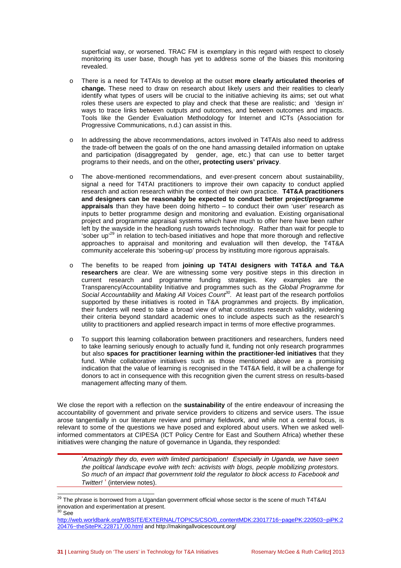superficial way, or worsened. TRAC FM is exemplary in this regard with respect to closely monitoring its user base, though has yet to address some of the biases this monitoring revealed.

- o There is a need for T4TAIs to develop at the outset **more clearly articulated theories of change.** These need to draw on research about likely users and their realities to clearly identify what types of users will be crucial to the initiative achieving its aims; set out what roles these users are expected to play and check that these are realistic; and 'design in' ways to trace links between outputs and outcomes, and between outcomes and impacts. Tools like the Gender Evaluation Methodology for Internet and ICTs (Association for Progressive Communications, n.d.) can assist in this.
- o In addressing the above recommendations, actors involved in T4TAIs also need to address the trade-off between the goals of on the one hand amassing detailed information on uptake and participation (disaggregated by gender, age, etc.) that can use to better target programs to their needs, and on the other**, protecting users' privacy**.
- o The above-mentioned recommendations, and ever-present concern about sustainability, signal a need for T4TAI practitioners to improve their own capacity to conduct applied research and action research within the context of their own practice. **T4T&A practitioners and designers can be reasonably be expected to conduct better project/programme appraisals** than they have been doing hitherto – to conduct their own 'user' research as inputs to better programme design and monitoring and evaluation. Existing organisational project and programme appraisal systems which have much to offer here have been rather left by the wayside in the headlong rush towards technology. Rather than wait for people to 'sober up<sup>29</sup> in relation to tech-based initiatives and hope that more thorough and reflective approaches to appraisal and monitoring and evaluation will then develop, the T4T&A community accelerate this 'sobering-up' process by instituting more rigorous appraisals.
- o The benefits to be reaped from **joining up T4TAI designers with T4T&A and T&A researchers** are clear. We are witnessing some very positive steps in this direction in current research and programme funding strategies. Key examples are the Transparency/Accountability Initiative and programmes such as the Global Programme for Social Accountability and Making All Voices Count<sup>30</sup>. At least part of the research portfolios supported by these initiatives is rooted in T&A programmes and projects. By implication, their funders will need to take a broad view of what constitutes research validity, widening their criteria beyond standard academic ones to include aspects such as the research's utility to practitioners and applied research impact in terms of more effective programmes.
- o To support this learning collaboration between practitioners and researchers, funders need to take learning seriously enough to actually fund it, funding not only research programmes but also **spaces for practitioner learning within the practitioner-led initiatives** that they fund. While collaborative initiatives such as those mentioned above are a promising indication that the value of learning is recognised in the T4T&A field, it will be a challenge for donors to act in consequence with this recognition given the current stress on results-based management affecting many of them.

We close the report with a reflection on the **sustainability** of the entire endeavour of increasing the accountability of government and private service providers to citizens and service users. The issue arose tangentially in our literature review and primary fieldwork, and while not a central focus, is relevant to some of the questions we have posed and explored about users. When we asked wellinformed commentators at CIPESA (ICT Policy Centre for East and Southern Africa) whether these initiatives were changing the nature of governance in Uganda, they responded:

'Amazingly they do, even with limited participation! Especially in Uganda, we have seen the political landscape evolve with tech: activists with blogs, people mobilizing protestors. So much of an impact that government told the regulator to block access to Facebook and Twitter!' (interview notes).

 $^{29}$  The phrase is borrowed from a Ugandan government official whose sector is the scene of much T4T&AI innovation and experimentation at present.  $30$  See

http://web.worldbank.org/WBSITE/EXTERNAL/TOPICS/CSO/0,,contentMDK:23017716~pagePK:220503~piPK:2 20476~theSitePK:228717,00.html and http://makingallvoicescount.org/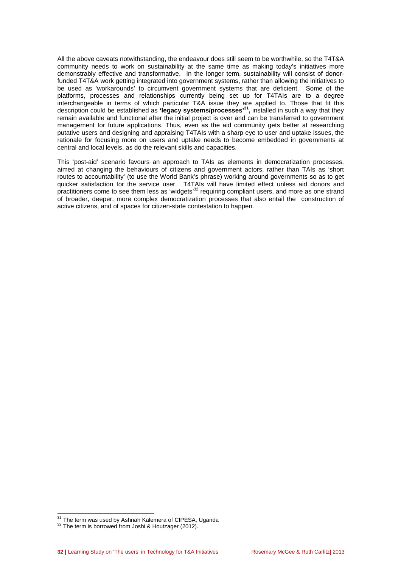All the above caveats notwithstanding, the endeavour does still seem to be worthwhile, so the T4T&A community needs to work on sustainability at the same time as making today's initiatives more demonstrably effective and transformative. In the longer term, sustainability will consist of donorfunded T4T&A work getting integrated into government systems, rather than allowing the initiatives to be used as 'workarounds' to circumvent government systems that are deficient. Some of the platforms, processes and relationships currently being set up for T4TAIs are to a degree interchangeable in terms of which particular T&A issue they are applied to. Those that fit this description could be established as **'legacy systems/processes'<sup>31</sup> ,** installed in such a way that they remain available and functional after the initial project is over and can be transferred to government management for future applications. Thus, even as the aid community gets better at researching putative users and designing and appraising T4TAIs with a sharp eye to user and uptake issues, the rationale for focusing more on users and uptake needs to become embedded in governments at central and local levels, as do the relevant skills and capacities.

This 'post-aid' scenario favours an approach to TAIs as elements in democratization processes, aimed at changing the behaviours of citizens and government actors, rather than TAIs as 'short routes to accountability' (to use the World Bank's phrase) working around governments so as to get quicker satisfaction for the service user. T4TAIs will have limited effect unless aid donors and practitioners come to see them less as 'widgets'<sup>32</sup> requiring compliant users, and more as one strand of broader, deeper, more complex democratization processes that also entail the construction of active citizens, and of spaces for citizen-state contestation to happen.

<sup>&</sup>lt;sup>31</sup> The term was used by Ashnah Kalemera of CIPESA, Uganda

<sup>&</sup>lt;sup>32</sup> The term is borrowed from Joshi & Houtzager (2012).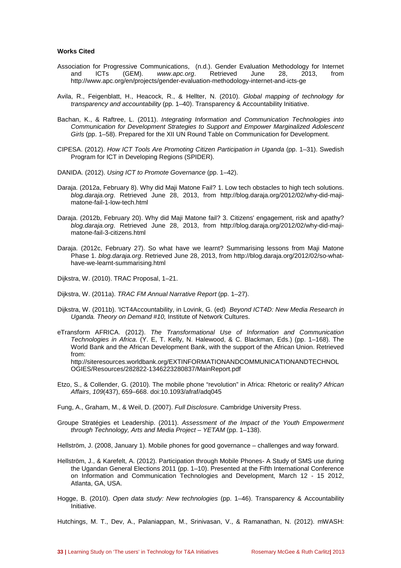#### **Works Cited**

- Association for Progressive Communications, (n.d.). Gender Evaluation Methodology for Internet and ICTs (GEM). www.apc.org. Retrieved June 28, 2013, from http://www.apc.org/en/projects/gender-evaluation-methodology-internet-and-icts-ge
- Avila, R., Feigenblatt, H., Heacock, R., & Hellter, N. (2010). Global mapping of technology for transparency and accountability (pp. 1–40). Transparency & Accountability Initiative.
- Bachan, K., & Raftree, L. (2011). Integrating Information and Communication Technologies into Communication for Development Strategies to Support and Empower Marginalized Adolescent Girls (pp. 1–58). Prepared for the XII UN Round Table on Communication for Development.
- CIPESA. (2012). How ICT Tools Are Promoting Citizen Participation in Uganda (pp. 1–31). Swedish Program for ICT in Developing Regions (SPIDER).
- DANIDA. (2012). Using ICT to Promote Governance (pp. 1–42).
- Daraja. (2012a, February 8). Why did Maji Matone Fail? 1. Low tech obstacles to high tech solutions. blog.daraja.org. Retrieved June 28, 2013, from http://blog.daraja.org/2012/02/why-did-majimatone-fail-1-low-tech.html
- Daraja. (2012b, February 20). Why did Maji Matone fail? 3. Citizens' engagement, risk and apathy? blog.daraja.org. Retrieved June 28, 2013, from http://blog.daraja.org/2012/02/why-did-majimatone-fail-3-citizens.html
- Daraja. (2012c, February 27). So what have we learnt? Summarising lessons from Maji Matone Phase 1. blog.daraja.org. Retrieved June 28, 2013, from http://blog.daraja.org/2012/02/so-whathave-we-learnt-summarising.html
- Dijkstra, W. (2010). TRAC Proposal, 1–21.
- Dijkstra, W. (2011a). TRAC FM Annual Narrative Report (pp. 1–27).
- Dijkstra, W. (2011b). 'ICT4Accountability, in Lovink, G. (ed) Beyond ICT4D: New Media Research in Uganda. Theory on Demand #10, Institute of Network Cultures.
- eTransform AFRICA. (2012). The Transformational Use of Information and Communication Technologies in Africa. (Y. E, T. Kelly, N. Halewood, & C. Blackman, Eds.) (pp. 1–168). The World Bank and the African Development Bank, with the support of the African Union. Retrieved from: http://siteresources.worldbank.org/EXTINFORMATIONANDCOMMUNICATIONANDTECHNOL OGIES/Resources/282822-1346223280837/MainReport.pdf
- Etzo, S., & Collender, G. (2010). The mobile phone "revolution" in Africa: Rhetoric or reality? African Affairs, 109(437), 659–668. doi:10.1093/afraf/adq045
- Fung, A., Graham, M., & Weil, D. (2007). Full Disclosure. Cambridge University Press.
- Groupe Stratégies et Leadership. (2011). Assessment of the Impact of the Youth Empowerment through Technology, Arts and Media Project – YETAM (pp. 1–138).

Hellström, J. (2008, January 1). Mobile phones for good governance – challenges and way forward.

- Hellström, J., & Karefelt, A. (2012). Participation through Mobile Phones- A Study of SMS use during the Ugandan General Elections 2011 (pp. 1–10). Presented at the Fifth International Conference on Information and Communication Technologies and Development, March 12 - 15 2012, Atlanta, GA, USA.
- Hogge, B. (2010). Open data study: New technologies (pp. 1–46). Transparency & Accountability Initiative.

Hutchings, M. T., Dev, A., Palaniappan, M., Srinivasan, V., & Ramanathan, N. (2012). mWASH: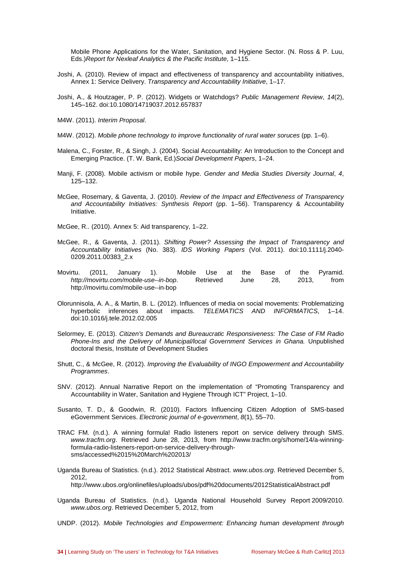Mobile Phone Applications for the Water, Sanitation, and Hygiene Sector. (N. Ross & P. Luu, Eds.)Report for Nexleaf Analytics & the Pacific Institute, 1–115.

- Joshi, A. (2010). Review of impact and effectiveness of transparency and accountability initiatives, Annex 1: Service Delivery. Transparency and Accountability Initiative, 1–17.
- Joshi, A., & Houtzager, P. P. (2012). Widgets or Watchdogs? Public Management Review, 14(2), 145–162. doi:10.1080/14719037.2012.657837
- M4W. (2011). Interim Proposal.
- M4W. (2012). Mobile phone technology to improve functionality of rural water soruces (pp. 1–6).
- Malena, C., Forster, R., & Singh, J. (2004). Social Accountability: An Introduction to the Concept and Emerging Practice. (T. W. Bank, Ed.)Social Development Papers, 1–24.
- Manji, F. (2008). Mobile activism or mobile hype. Gender and Media Studies Diversity Journal, 4, 125–132.
- McGee, Rosemary, & Gaventa, J. (2010). Review of the Impact and Effectiveness of Transparency and Accountability Initiatives: Synthesis Report (pp. 1–56). Transparency & Accountability Initiative.
- McGee, R.. (2010). Annex 5: Aid transparency, 1–22.
- McGee, R., & Gaventa, J. (2011). Shifting Power? Assessing the Impact of Transparency and Accountability Initiatives (No. 383). IDS Working Papers (Vol. 2011). doi:10.1111/j.2040- 0209.2011.00383\_2.x
- Movirtu. (2011, January 1). Mobile Use at the Base of the Pyramid. http://movirtu.com/mobile*‐*use-*‐*in*‐*bop. Retrieved June 28, 2013, from http://movirtu.com/mobile‐use-‐in‐bop
- Olorunnisola, A. A., & Martin, B. L. (2012). Influences of media on social movements: Problematizing hyperbolic inferences about impacts. TELEMATICS AND INFORMATICS, 1-14. doi:10.1016/j.tele.2012.02.005
- Selormey, E. (2013). Citizen's Demands and Bureaucratic Responsiveness: The Case of FM Radio Phone-Ins and the Delivery of Municipal/local Government Services in Ghana. Unpublished doctoral thesis, Institute of Development Studies
- Shutt, C., & McGee, R. (2012). Improving the Evaluability of INGO Empowerment and Accountability Programmes.
- SNV. (2012). Annual Narrative Report on the implementation of "Promoting Transparency and Accountability in Water, Sanitation and Hygiene Through ICT" Project, 1–10.
- Susanto, T. D., & Goodwin, R. (2010). Factors Influencing Citizen Adoption of SMS-based eGovernment Services. Electronic journal of e-government, 8(1), 55–70.
- TRAC FM. (n.d.). A winning formula! Radio listeners report on service delivery through SMS. www.tracfm.org. Retrieved June 28, 2013, from http://www.tracfm.org/s/home/14/a-winningformula-radio-listeners-report-on-service-delivery-throughsms/accessed%2015%20March%202013/
- Uganda Bureau of Statistics. (n.d.). 2012 Statistical Abstract. www.ubos.org. Retrieved December 5, 2012, from http://www.ubos.org/onlinefiles/uploads/ubos/pdf%20documents/2012StatisticalAbstract.pdf
- Uganda Bureau of Statistics. (n.d.). Uganda National Household Survey Report 2009/2010. www.ubos.org. Retrieved December 5, 2012, from
- UNDP. (2012). Mobile Technologies and Empowerment: Enhancing human development through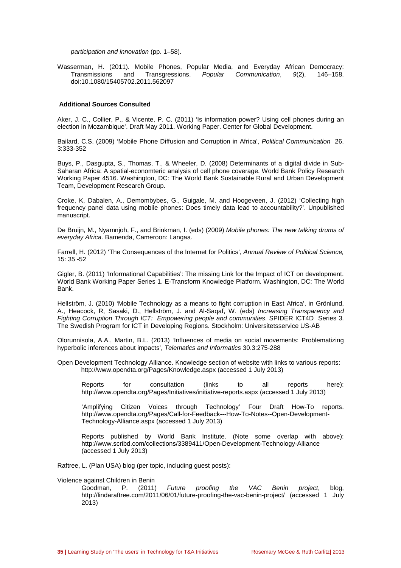participation and innovation (pp. 1–58).

Wasserman, H. (2011). Mobile Phones, Popular Media, and Everyday African Democracy: Transmissions and Transgressions. Popular Communication, 9(2), 146–158. doi:10.1080/15405702.2011.562097

#### **Additional Sources Consulted**

Aker, J. C., Collier, P., & Vicente, P. C. (2011) 'Is information power? Using cell phones during an election in Mozambique'. Draft May 2011. Working Paper. Center for Global Development.

Bailard, C.S. (2009) 'Mobile Phone Diffusion and Corruption in Africa', Political Communication 26. 3:333-352

Buys, P., Dasgupta, S., Thomas, T., & Wheeler, D. (2008) Determinants of a digital divide in Sub-Saharan Africa: A spatial-economteric analysis of cell phone coverage. World Bank Policy Research Working Paper 4516. Washington, DC: The World Bank Sustainable Rural and Urban Development Team, Development Research Group.

Croke, K, Dabalen, A., Demombybes, G., Guigale, M. and Hoogeveen, J. (2012) 'Collecting high frequency panel data using mobile phones: Does timely data lead to accountability?'. Unpublished manuscript.

De Bruijn, M., Nyamnjoh, F., and Brinkman, I. (eds) (2009) Mobile phones: The new talking drums of everyday Africa. Bamenda, Cameroon: Langaa.

Farrell, H. (2012) 'The Consequences of the Internet for Politics', Annual Review of Political Science, 15: 35 -52

Gigler, B. (2011) 'Informational Capabilities': The missing Link for the Impact of ICT on development. World Bank Working Paper Series 1. E-Transform Knowledge Platform. Washington, DC: The World Bank.

Hellström, J. (2010) 'Mobile Technology as a means to fight corruption in East Africa', in Grönlund, A., Heacock, R, Sasaki, D., Hellström, J. and Al-Saqaf, W. (eds) Increasing Transparency and Fighting Corruption Through ICT: Empowering people and communities. SPIDER ICT4D Series 3. The Swedish Program for ICT in Developing Regions. Stockholm: Universitetsservice US-AB

Olorunnisola, A.A., Martin, B.L. (2013) 'Influences of media on social movements: Problematizing hyperbolic inferences about impacts', Telematics and Informatics 30.3:275-288

Open Development Technology Alliance. Knowledge section of website with links to various reports: http://www.opendta.org/Pages/Knowledge.aspx (accessed 1 July 2013)

Reports for consultation (links to all reports here): http://www.opendta.org/Pages/Initiatives/initiative-reports.aspx (accessed 1 July 2013)

'Amplifying Citizen Voices through Technology' Four Draft How-To reports. http://www.opendta.org/Pages/Call-for-Feedback---How-To-Notes--Open-Development-Technology-Alliance.aspx (accessed 1 July 2013)

Reports published by World Bank Institute. (Note some overlap with above): http://www.scribd.com/collections/3389411/Open-Development-Technology-Alliance (accessed 1 July 2013)

Raftree, L. (Plan USA) blog (per topic, including guest posts):

Violence against Children in Benin

Goodman, P. (2011) Future proofing the VAC Benin project, blog, http://lindaraftree.com/2011/06/01/future-proofing-the-vac-benin-project/ (accessed 1 July 2013)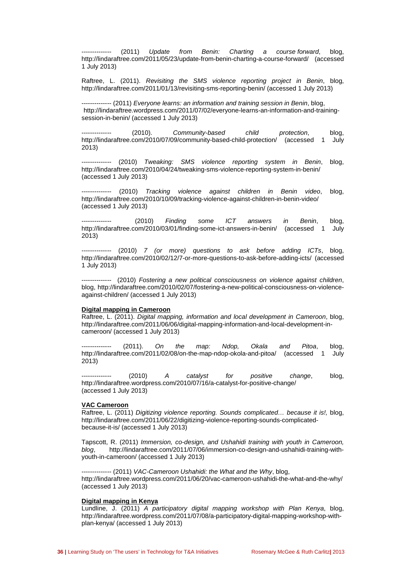$(2011)$  Update from Benin: Charting a course forward, blog, http://lindaraftree.com/2011/05/23/update-from-benin-charting-a-course-forward/ (accessed 1 July 2013)

Raftree, L. (2011). Revisiting the SMS violence reporting project in Benin, blog, http://lindaraftree.com/2011/01/13/revisiting-sms-reporting-benin/ (accessed 1 July 2013)

-------------- (2011) Everyone learns: an information and training session in Benin, blog, http://lindaraftree.wordpress.com/2011/07/02/everyone-learns-an-information-and-trainingsession-in-benin/ (accessed 1 July 2013)

(2010). Community-based child protection, blog, http://lindaraftree.com/2010/07/09/community-based-child-protection/ (accessed 1 July 2013)

-------------- (2010) Tweaking: SMS violence reporting system in Benin, blog, http://lindaraftree.com/2010/04/24/tweaking-sms-violence-reporting-system-in-benin/ (accessed 1 July 2013)

(2010) Tracking violence against children in Benin video, blog, http://lindaraftree.com/2010/10/09/tracking-violence-against-children-in-benin-video/ (accessed 1 July 2013)

------------- (2010) Finding some ICT answers in Benin, blog, http://lindaraftree.com/2010/03/01/finding-some-ict-answers-in-benin/ (accessed 1 July 2013)

-------------- (2010) 7 (or more) questions to ask before adding ICTs, blog, http://lindaraftree.com/2010/02/12/7-or-more-questions-to-ask-before-adding-icts/ (accessed 1 July 2013)

-------------- (2010) Fostering a new political consciousness on violence against children, blog, http://lindaraftree.com/2010/02/07/fostering-a-new-political-consciousness-on-violenceagainst-children/ (accessed 1 July 2013)

#### **Digital mapping in Cameroon**

Raftree, L. (2011). Digital mapping, information and local development in Cameroon, blog, http://lindaraftree.com/2011/06/06/digital-mapping-information-and-local-development-incameroon/ (accessed 1 July 2013)

-------------- (2011). On the map: Ndop, Okala and Pitoa, blog, http://lindaraftree.com/2011/02/08/on-the-map-ndop-okola-and-pitoa/ (accessed 1 July 2013)

-------------- (2010) A catalyst for positive change, blog, http://lindaraftree.wordpress.com/2010/07/16/a-catalyst-for-positive-change/ (accessed 1 July 2013)

#### **VAC Cameroon**

Raftree, L. (2011) Digitizing violence reporting. Sounds complicated… because it is!, blog, http://lindaraftree.com/2011/06/22/digitizing-violence-reporting-sounds-complicatedbecause-it-is/ (accessed 1 July 2013)

Tapscott, R. (2011) Immersion, co-design, and Ushahidi training with youth in Cameroon, blog, http://lindaraftree.com/2011/07/06/immersion-co-design-and-ushahidi-training-withyouth-in-cameroon/ (accessed 1 July 2013)

-------- (2011) VAC-Cameroon Ushahidi: the What and the Why, blog, http://lindaraftree.wordpress.com/2011/06/20/vac-cameroon-ushahidi-the-what-and-the-why/ (accessed 1 July 2013)

#### **Digital mapping in Kenya**

Lundline, J. (2011) A participatory digital mapping workshop with Plan Kenya, blog, http://lindaraftree.wordpress.com/2011/07/08/a-participatory-digital-mapping-workshop-withplan-kenya/ (accessed 1 July 2013)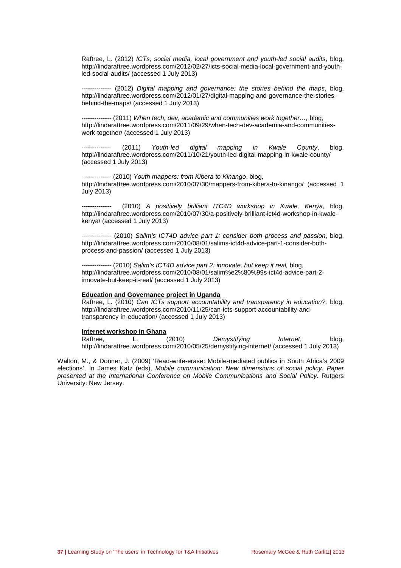Raftree, L. (2012) ICTs, social media, local government and youth-led social audits, blog, http://lindaraftree.wordpress.com/2012/02/27/icts-social-media-local-government-and-youthled-social-audits/ (accessed 1 July 2013)

-------------- (2012) Digital mapping and governance: the stories behind the maps, blog, http://lindaraftree.wordpress.com/2012/01/27/digital-mapping-and-governance-the-storiesbehind-the-maps/ (accessed 1 July 2013)

--------- (2011) When tech, dev, academic and communities work together..., blog, http://lindaraftree.wordpress.com/2011/09/29/when-tech-dev-academia-and-communitieswork-together/ (accessed 1 July 2013)

 $(2011)$  Youth-led digital mapping in Kwale County, blog, http://lindaraftree.wordpress.com/2011/10/21/youth-led-digital-mapping-in-kwale-county/ (accessed 1 July 2013)

-------------- (2010) Youth mappers: from Kibera to Kinango, blog, http://lindaraftree.wordpress.com/2010/07/30/mappers-from-kibera-to-kinango/ (accessed 1 July 2013)

-------------- (2010) A positively brilliant ITC4D workshop in Kwale, Kenya, blog, http://lindaraftree.wordpress.com/2010/07/30/a-positively-brilliant-ict4d-workshop-in-kwalekenya/ (accessed 1 July 2013)

-------------- (2010) Salim's ICT4D advice part 1: consider both process and passion, blog, http://lindaraftree.wordpress.com/2010/08/01/salims-ict4d-advice-part-1-consider-bothprocess-and-passion/ (accessed 1 July 2013)

--- (2010) Salim's ICT4D advice part 2: innovate, but keep it real, blog, http://lindaraftree.wordpress.com/2010/08/01/salim%e2%80%99s-ict4d-advice-part-2 innovate-but-keep-it-real/ (accessed 1 July 2013)

#### **Education and Governance project in Uganda**

Raftree, L. (2010) Can ICTs support accountability and transparency in education?, blog, http://lindaraftree.wordpress.com/2010/11/25/can-icts-support-accountability-andtransparency-in-education/ (accessed 1 July 2013)

#### **Internet workshop in Ghana**

Raftree, L. (2010) Demystifying Internet, blog, http://lindaraftree.wordpress.com/2010/05/25/demystifying-internet/ (accessed 1 July 2013)

Walton, M., & Donner, J. (2009) 'Read-write-erase: Mobile-mediated publics in South Africa's 2009 elections', In James Katz (eds), Mobile communication: New dimensions of social policy. Paper presented at the International Conference on Mobile Communications and Social Policy. Rutgers University: New Jersey.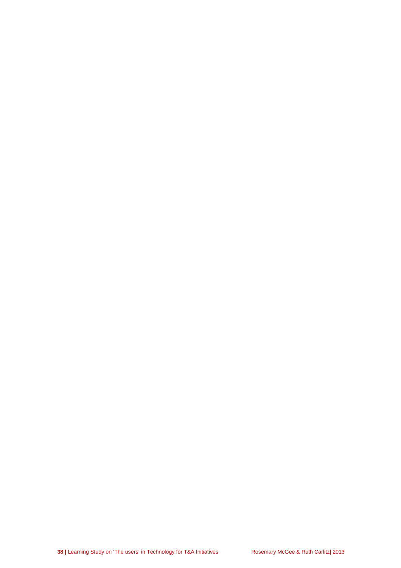**38 | Learning Study on 'The users' in Technology for T&A Initiatives Rosemary McGee & Ruth Carlitz<sup>|</sup> 2013**